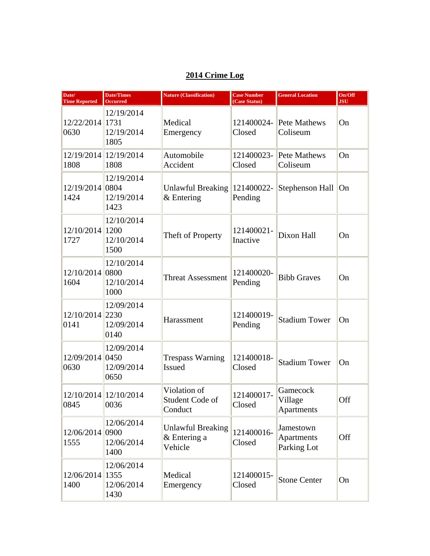## **2014 Crime Log**

| Date/<br><b>Time Reported</b> | <b>Date/Times</b><br><b>Occurred</b>     | <b>Nature (Classification)</b>                      | <b>Case Number</b><br>(Case Status) | <b>General Location</b>                       | On/Off<br><b>JSU</b> |
|-------------------------------|------------------------------------------|-----------------------------------------------------|-------------------------------------|-----------------------------------------------|----------------------|
| 12/22/2014 1731<br>0630       | 12/19/2014<br>12/19/2014<br>1805         | Medical<br>Emergency                                | 121400024-<br>Closed                | Pete Mathews<br>Coliseum                      | On                   |
| 1808                          | 12/19/2014 12/19/2014<br>1808            | Automobile<br>Accident                              | 121400023-<br>Closed                | Pete Mathews<br>Coliseum                      | On                   |
| 12/19/2014 0804<br>1424       | 12/19/2014<br>12/19/2014<br>1423         | <b>Unlawful Breaking</b><br>$&$ Entering            | 121400022-<br>Pending               | Stephenson Hall                               | On                   |
| 12/10/2014<br>1727            | 12/10/2014<br>1200<br>12/10/2014<br>1500 | Theft of Property                                   | 121400021-<br>Inactive              | Dixon Hall                                    | On                   |
| 12/10/2014 0800<br>1604       | 12/10/2014<br>12/10/2014<br>1000         | <b>Threat Assessment</b>                            | 121400020-<br>Pending               | <b>Bibb Graves</b>                            | On                   |
| 12/10/2014 2230<br>0141       | 12/09/2014<br>12/09/2014<br>0140         | Harassment                                          | 121400019-<br>Pending               | <b>Stadium Tower</b>                          | On                   |
| 12/09/2014 0450<br>0630       | 12/09/2014<br>12/09/2014<br>0650         | <b>Trespass Warning</b><br><b>Issued</b>            | 121400018-<br>Closed                | <b>Stadium Tower</b>                          | On                   |
| 0845                          | 12/10/2014 12/10/2014<br>0036            | Violation of<br>Student Code of<br>Conduct          | 121400017-<br>Closed                | Gamecock<br>Village<br>Apartments             | Off                  |
| 12/06/2014 0900<br>1555       | 12/06/2014<br>12/06/2014<br>1400         | <b>Unlawful Breaking</b><br>& Entering a<br>Vehicle | 121400016-<br>Closed                | Jamestown<br><b>Apartments</b><br>Parking Lot | Off                  |
| 12/06/2014<br>1400            | 12/06/2014<br>1355<br>12/06/2014<br>1430 | Medical<br>Emergency                                | 121400015-<br>Closed                | <b>Stone Center</b>                           | On                   |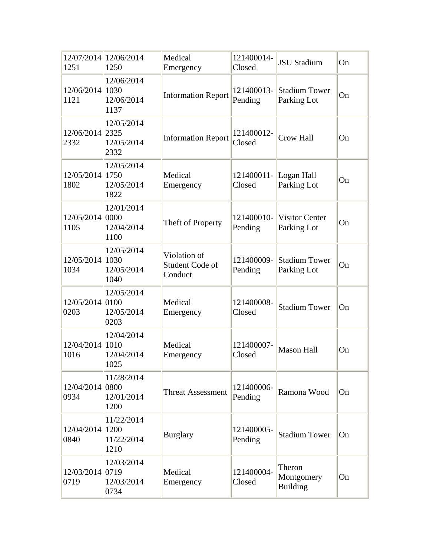| 1251                    | 12/07/2014 12/06/2014<br>1250    | Medical<br>Emergency                       | 121400014-<br>Closed  | <b>JSU Stadium</b>                      | On        |
|-------------------------|----------------------------------|--------------------------------------------|-----------------------|-----------------------------------------|-----------|
| 12/06/2014 1030<br>1121 | 12/06/2014<br>12/06/2014<br>1137 | <b>Information Report</b>                  | 121400013-<br>Pending | <b>Stadium Tower</b><br>Parking Lot     | On        |
| 12/06/2014 2325<br>2332 | 12/05/2014<br>12/05/2014<br>2332 | <b>Information Report</b>                  | 121400012-<br>Closed  | <b>Crow Hall</b>                        | On        |
| 12/05/2014 1750<br>1802 | 12/05/2014<br>12/05/2014<br>1822 | Medical<br>Emergency                       | 121400011-<br>Closed  | Logan Hall<br>Parking Lot               | On        |
| 12/05/2014 0000<br>1105 | 12/01/2014<br>12/04/2014<br>1100 | Theft of Property                          | 121400010-<br>Pending | <b>Visitor Center</b><br>Parking Lot    | On        |
| 12/05/2014 1030<br>1034 | 12/05/2014<br>12/05/2014<br>1040 | Violation of<br>Student Code of<br>Conduct | 121400009-<br>Pending | <b>Stadium Tower</b><br>Parking Lot     | On        |
| 12/05/2014 0100<br>0203 | 12/05/2014<br>12/05/2014<br>0203 | Medical<br>Emergency                       | 121400008-<br>Closed  | <b>Stadium Tower</b>                    | On        |
| 12/04/2014 1010<br>1016 | 12/04/2014<br>12/04/2014<br>1025 | Medical<br>Emergency                       | 121400007-<br>Closed  | <b>Mason Hall</b>                       | On        |
| 12/04/2014 0800<br>0934 | 11/28/2014<br>12/01/2014<br>1200 | <b>Threat Assessment</b>                   | 121400006-<br>Pending | Ramona Wood                             | On        |
| 12/04/2014 1200<br>0840 | 11/22/2014<br>11/22/2014<br>1210 | <b>Burglary</b>                            | 121400005-<br>Pending | <b>Stadium Tower</b>                    | <b>On</b> |
| 12/03/2014 0719<br>0719 | 12/03/2014<br>12/03/2014<br>0734 | Medical<br>Emergency                       | 121400004-<br>Closed  | Theron<br>Montgomery<br><b>Building</b> | On        |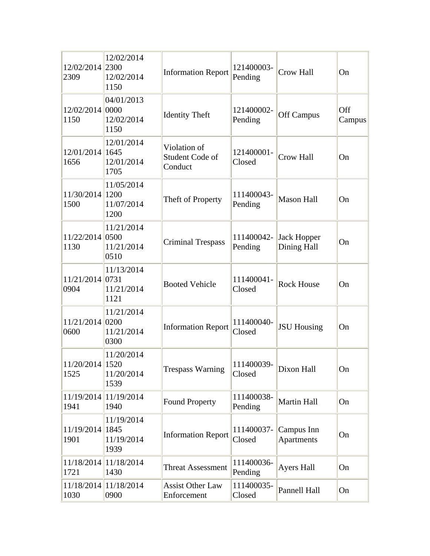| 12/02/2014 2300<br>2309 | 12/02/2014<br>12/02/2014<br>1150          | <b>Information Report</b>                  | 121400003-<br>Pending | <b>Crow Hall</b>                  | On            |
|-------------------------|-------------------------------------------|--------------------------------------------|-----------------------|-----------------------------------|---------------|
| 12/02/2014 0000<br>1150 | 04/01/2013<br>12/02/2014<br>1150          | <b>Identity Theft</b>                      | 121400002-<br>Pending | <b>Off Campus</b>                 | Off<br>Campus |
| 12/01/2014 1645<br>1656 | 12/01/2014<br>12/01/2014<br>1705          | Violation of<br>Student Code of<br>Conduct | 121400001-<br>Closed  | Crow Hall                         | On            |
| 11/30/2014<br>1500      | 11/05/2014<br> 1200<br>11/07/2014<br>1200 | Theft of Property                          | 111400043-<br>Pending | <b>Mason Hall</b>                 | On            |
| 11/22/2014<br>1130      | 11/21/2014<br>0500<br>11/21/2014<br>0510  | <b>Criminal Trespass</b>                   | 111400042-<br>Pending | <b>Jack Hopper</b><br>Dining Hall | On            |
| 11/21/2014<br>0904      | 11/13/2014<br> 0731<br>11/21/2014<br>1121 | <b>Booted Vehicle</b>                      | 111400041-<br>Closed  | <b>Rock House</b>                 | On            |
| 11/21/2014<br>0600      | 11/21/2014<br> 0200<br>11/21/2014<br>0300 | <b>Information Report</b>                  | 111400040-<br>Closed  | <b>JSU Housing</b>                | On            |
| 11/20/2014 1520<br>1525 | 11/20/2014<br>11/20/2014<br>1539          | <b>Trespass Warning</b>                    | 111400039-<br>Closed  | Dixon Hall                        | On            |
| 11/19/2014<br>1941      | 11/19/2014<br>1940                        | <b>Found Property</b>                      | 111400038-<br>Pending | <b>Martin Hall</b>                | On            |
| 11/19/2014<br>1901      | 11/19/2014<br>1845<br>11/19/2014<br>1939  | <b>Information Report</b>                  | 111400037-<br>Closed  | Campus Inn<br><b>Apartments</b>   | On            |
| 11/18/2014<br>1721      | 11/18/2014<br>1430                        | <b>Threat Assessment</b>                   | 111400036-<br>Pending | <b>Ayers Hall</b>                 | On            |
| 11/18/2014<br>1030      | 11/18/2014<br>0900                        | <b>Assist Other Law</b><br>Enforcement     | 111400035-<br>Closed  | Pannell Hall                      | On            |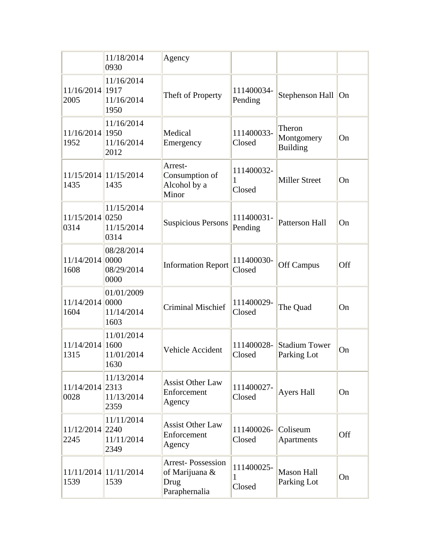|                         | 11/18/2014<br>0930               | Agency                                                              |                           |                                         |           |
|-------------------------|----------------------------------|---------------------------------------------------------------------|---------------------------|-----------------------------------------|-----------|
| 11/16/2014 1917<br>2005 | 11/16/2014<br>11/16/2014<br>1950 | Theft of Property                                                   | 111400034-<br>Pending     | Stephenson Hall On                      |           |
| 11/16/2014 1950<br>1952 | 11/16/2014<br>11/16/2014<br>2012 | Medical<br>Emergency                                                | 111400033-<br>Closed      | Theron<br>Montgomery<br><b>Building</b> | On        |
| 1435                    | 11/15/2014 11/15/2014<br>1435    | Arrest-<br>Consumption of<br>Alcohol by a<br>Minor                  | 111400032-<br>1<br>Closed | <b>Miller Street</b>                    | On        |
| 11/15/2014 0250<br>0314 | 11/15/2014<br>11/15/2014<br>0314 | <b>Suspicious Persons</b>                                           | 111400031-<br>Pending     | <b>Patterson Hall</b>                   | On        |
| 11/14/2014 0000<br>1608 | 08/28/2014<br>08/29/2014<br>0000 | <b>Information Report</b>                                           | 111400030-<br>Closed      | <b>Off Campus</b>                       | Off       |
| 11/14/2014 0000<br>1604 | 01/01/2009<br>11/14/2014<br>1603 | <b>Criminal Mischief</b>                                            | 111400029-<br>Closed      | The Quad                                | On        |
| 11/14/2014 1600<br>1315 | 11/01/2014<br>11/01/2014<br>1630 | Vehicle Accident                                                    | 111400028-<br>Closed      | <b>Stadium Tower</b><br>Parking Lot     | On        |
| 11/14/2014 2313<br>0028 | 11/13/2014<br>11/13/2014<br>2359 | <b>Assist Other Law</b><br>Enforcement<br>Agency                    | 111400027-<br>Closed      | <b>Ayers Hall</b>                       | <b>On</b> |
| 11/12/2014 2240<br>2245 | 11/11/2014<br>11/11/2014<br>2349 | <b>Assist Other Law</b><br>Enforcement<br>Agency                    | 111400026-<br>Closed      | Coliseum<br>Apartments                  | Off       |
| 1539                    | 11/11/2014 11/11/2014<br>1539    | <b>Arrest-Possession</b><br>of Marijuana &<br>Drug<br>Paraphernalia | 111400025-<br>1<br>Closed | <b>Mason Hall</b><br>Parking Lot        | On        |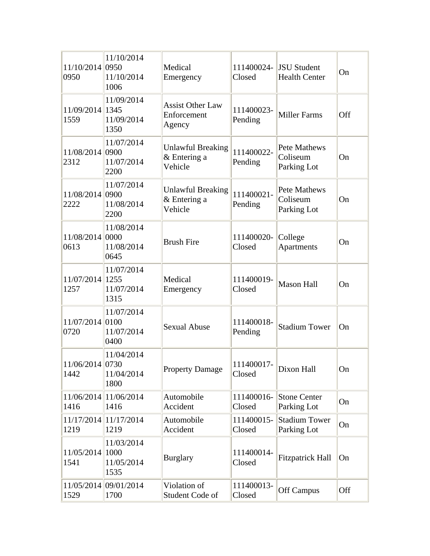| 11/10/2014 0950<br>0950 | 11/10/2014<br>11/10/2014<br>1006          | Medical<br>Emergency                                | 111400024-<br>Closed  | <b>JSU Student</b><br><b>Health Center</b>     | On         |
|-------------------------|-------------------------------------------|-----------------------------------------------------|-----------------------|------------------------------------------------|------------|
| 11/09/2014 1345<br>1559 | 11/09/2014<br>11/09/2014<br>1350          | <b>Assist Other Law</b><br>Enforcement<br>Agency    | 111400023-<br>Pending | <b>Miller Farms</b>                            | <b>Off</b> |
| 11/08/2014 0900<br>2312 | 11/07/2014<br>11/07/2014<br>2200          | <b>Unlawful Breaking</b><br>& Entering a<br>Vehicle | 111400022-<br>Pending | <b>Pete Mathews</b><br>Coliseum<br>Parking Lot | On         |
| 11/08/2014<br>2222      | 11/07/2014<br>0900<br>11/08/2014<br>2200  | <b>Unlawful Breaking</b><br>& Entering a<br>Vehicle | 111400021-<br>Pending | Pete Mathews<br>Coliseum<br>Parking Lot        | On         |
| 11/08/2014<br>0613      | 11/08/2014<br>0000<br>11/08/2014<br>0645  | <b>Brush Fire</b>                                   | 111400020-<br>Closed  | College<br><b>Apartments</b>                   | On         |
| 11/07/2014<br>1257      | 11/07/2014<br> 1255<br>11/07/2014<br>1315 | Medical<br>Emergency                                | 111400019-<br>Closed  | <b>Mason Hall</b>                              | On         |
| 11/07/2014<br>0720      | 11/07/2014<br>0100<br>11/07/2014<br>0400  | <b>Sexual Abuse</b>                                 | 111400018-<br>Pending | <b>Stadium Tower</b>                           | On         |
| 11/06/2014 0730<br>1442 | 11/04/2014<br>11/04/2014<br>1800          | <b>Property Damage</b>                              | 111400017-<br>Closed  | Dixon Hall                                     | On         |
| 1416                    | 11/06/2014 11/06/2014<br>1416             | Automobile<br>Accident                              | 111400016-<br>Closed  | <b>Stone Center</b><br>Parking Lot             | On         |
| 1219                    | 11/17/2014 11/17/2014<br>1219             | Automobile<br>Accident                              | 111400015-<br>Closed  | <b>Stadium Tower</b><br>Parking Lot            | On         |
| 11/05/2014<br>1541      | 11/03/2014<br>1000<br>11/05/2014<br>1535  | <b>Burglary</b>                                     | 111400014-<br>Closed  | <b>Fitzpatrick Hall</b>                        | On         |
| 1529                    | 11/05/2014 09/01/2014<br>1700             | Violation of<br>Student Code of                     | 111400013-<br>Closed  | <b>Off Campus</b>                              | Off        |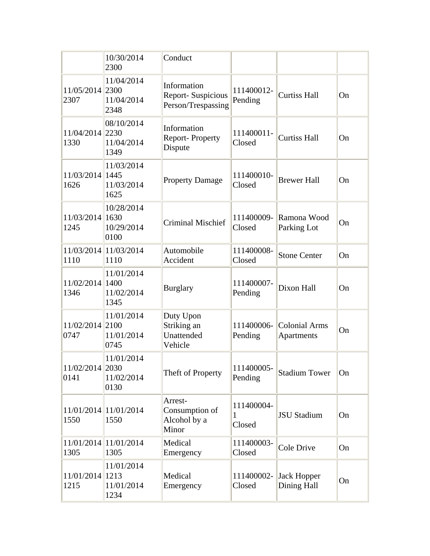|                         | 10/30/2014<br>2300               | Conduct                                                       |                       |                                    |    |
|-------------------------|----------------------------------|---------------------------------------------------------------|-----------------------|------------------------------------|----|
| 11/05/2014 2300<br>2307 | 11/04/2014<br>11/04/2014<br>2348 | Information<br><b>Report-Suspicious</b><br>Person/Trespassing | 111400012-<br>Pending | <b>Curtiss Hall</b>                | On |
| 11/04/2014 2230<br>1330 | 08/10/2014<br>11/04/2014<br>1349 | Information<br><b>Report-Property</b><br>Dispute              | 111400011-<br>Closed  | <b>Curtiss Hall</b>                | On |
| 11/03/2014 1445<br>1626 | 11/03/2014<br>11/03/2014<br>1625 | <b>Property Damage</b>                                        | 111400010-<br>Closed  | <b>Brewer Hall</b>                 | On |
| 11/03/2014 1630<br>1245 | 10/28/2014<br>10/29/2014<br>0100 | <b>Criminal Mischief</b>                                      | 111400009-<br>Closed  | Ramona Wood<br>Parking Lot         | On |
| 1110                    | 11/03/2014 11/03/2014<br>1110    | Automobile<br>Accident                                        | 111400008-<br>Closed  | <b>Stone Center</b>                | On |
| 11/02/2014 1400<br>1346 | 11/01/2014<br>11/02/2014<br>1345 | <b>Burglary</b>                                               | 111400007-<br>Pending | Dixon Hall                         | On |
| 11/02/2014 2100<br>0747 | 11/01/2014<br>11/01/2014<br>0745 | Duty Upon<br>Striking an<br>Unattended<br>Vehicle             | 111400006-<br>Pending | <b>Colonial Arms</b><br>Apartments | On |
| 11/02/2014 2030<br>0141 | 11/01/2014<br>11/02/2014<br>0130 | Theft of Property                                             | 111400005-<br>Pending | <b>Stadium Tower</b>               | On |
| 1550                    | 11/01/2014 11/01/2014<br>1550    | Arrest-<br>Consumption of<br>Alcohol by a<br>Minor            | 111400004-<br>Closed  | <b>JSU Stadium</b>                 | On |
| 1305                    | 11/01/2014 11/01/2014<br>1305    | Medical<br>Emergency                                          | 111400003-<br>Closed  | Cole Drive                         | On |
| 11/01/2014 1213<br>1215 | 11/01/2014<br>11/01/2014<br>1234 | Medical<br>Emergency                                          | 111400002-<br>Closed  | Jack Hopper<br>Dining Hall         | On |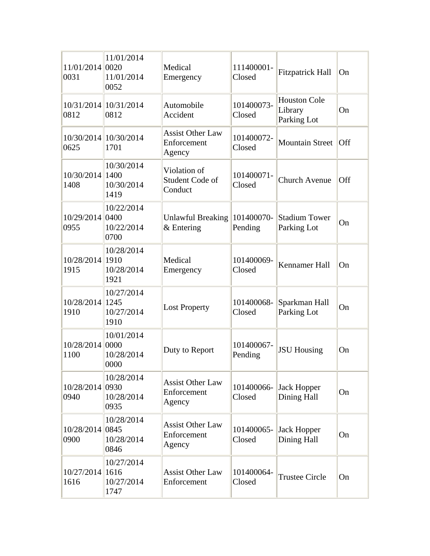| 11/01/2014 0020<br>0031 | 11/01/2014<br>11/01/2014<br>0052         | Medical<br>Emergency                             | 111400001-<br>Closed  | <b>Fitzpatrick Hall</b>                       | On                      |
|-------------------------|------------------------------------------|--------------------------------------------------|-----------------------|-----------------------------------------------|-------------------------|
| 0812                    | 10/31/2014 10/31/2014<br>0812            | Automobile<br>Accident                           | 101400073-<br>Closed  | <b>Houston Cole</b><br>Library<br>Parking Lot | On                      |
| 0625                    | 10/30/2014 10/30/2014<br>1701            | <b>Assist Other Law</b><br>Enforcement<br>Agency | 101400072-<br>Closed  | <b>Mountain Street</b>                        | $\overline{\text{Off}}$ |
| 10/30/2014 1400<br>1408 | 10/30/2014<br>10/30/2014<br>1419         | Violation of<br>Student Code of<br>Conduct       | 101400071-<br>Closed  | <b>Church Avenue</b>                          | Off                     |
| 10/29/2014 0400<br>0955 | 10/22/2014<br>10/22/2014<br>0700         | <b>Unlawful Breaking</b><br>$&$ Entering         | 101400070-<br>Pending | <b>Stadium Tower</b><br>Parking Lot           | On                      |
| 10/28/2014 1910<br>1915 | 10/28/2014<br>10/28/2014<br>1921         | Medical<br>Emergency                             | 101400069-<br>Closed  | Kennamer Hall                                 | On                      |
| 10/28/2014 1245<br>1910 | 10/27/2014<br>10/27/2014<br>1910         | <b>Lost Property</b>                             | 101400068-<br>Closed  | Sparkman Hall<br>Parking Lot                  | On                      |
| 10/28/2014 0000<br>1100 | 10/01/2014<br>10/28/2014<br>0000         | Duty to Report                                   | 101400067-<br>Pending | <b>JSU Housing</b>                            | On                      |
| 10/28/2014 0930<br>0940 | 10/28/2014<br>10/28/2014<br>0935         | <b>Assist Other Law</b><br>Enforcement<br>Agency | 101400066-<br>Closed  | Jack Hopper<br>Dining Hall                    | On                      |
| 10/28/2014<br>0900      | 10/28/2014<br>0845<br>10/28/2014<br>0846 | <b>Assist Other Law</b><br>Enforcement<br>Agency | 101400065-<br>Closed  | <b>Jack Hopper</b><br>Dining Hall             | On                      |
| 10/27/2014<br>1616      | 10/27/2014<br>1616<br>10/27/2014<br>1747 | <b>Assist Other Law</b><br>Enforcement           | 101400064-<br>Closed  | <b>Trustee Circle</b>                         | On                      |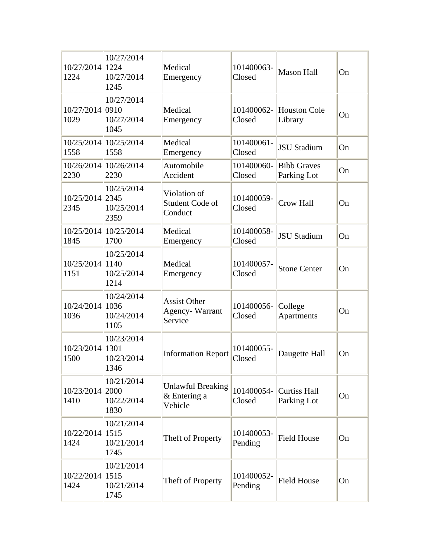| 10/27/2014 1224<br>1224 | 10/27/2014<br>10/27/2014<br>1245          | Medical<br>Emergency                                    | 101400063-<br>Closed  | <b>Mason Hall</b>                 | On |
|-------------------------|-------------------------------------------|---------------------------------------------------------|-----------------------|-----------------------------------|----|
| 10/27/2014 0910<br>1029 | 10/27/2014<br>10/27/2014<br>1045          | Medical<br>Emergency                                    | 101400062-<br>Closed  | <b>Houston Cole</b><br>Library    | On |
| 1558                    | 10/25/2014 10/25/2014<br>1558             | Medical<br>Emergency                                    | 101400061-<br>Closed  | <b>JSU Stadium</b>                | On |
| 2230                    | 10/26/2014 10/26/2014<br>2230             | Automobile<br>Accident                                  | 101400060-<br>Closed  | <b>Bibb Graves</b><br>Parking Lot | On |
| 10/25/2014 2345<br>2345 | 10/25/2014<br>10/25/2014<br>2359          | Violation of<br>Student Code of<br>Conduct              | 101400059-<br>Closed  | Crow Hall                         | On |
| 1845                    | 10/25/2014 10/25/2014<br>1700             | Medical<br>Emergency                                    | 101400058-<br>Closed  | <b>JSU Stadium</b>                | On |
| 10/25/2014 1140<br>1151 | 10/25/2014<br>10/25/2014<br>1214          | Medical<br>Emergency                                    | 101400057-<br>Closed  | <b>Stone Center</b>               | On |
| 10/24/2014<br>1036      | 10/24/2014<br> 1036<br>10/24/2014<br>1105 | <b>Assist Other</b><br><b>Agency-Warrant</b><br>Service | 101400056-<br>Closed  | College<br>Apartments             | On |
| 10/23/2014 1301<br>1500 | 10/23/2014<br>10/23/2014<br>1346          | <b>Information Report</b>                               | 101400055-<br>Closed  | Daugette Hall                     | On |
| 10/23/2014 2000<br>1410 | 10/21/2014<br>10/22/2014<br>1830          | <b>Unlawful Breaking</b><br>& Entering a<br>Vehicle     | 101400054-<br>Closed  | Curtiss Hall<br>Parking Lot       | On |
| 10/22/2014 1515<br>1424 | 10/21/2014<br>10/21/2014<br>1745          | Theft of Property                                       | 101400053-<br>Pending | <b>Field House</b>                | On |
| 10/22/2014 1515<br>1424 | 10/21/2014<br>10/21/2014<br>1745          | Theft of Property                                       | 101400052-<br>Pending | <b>Field House</b>                | On |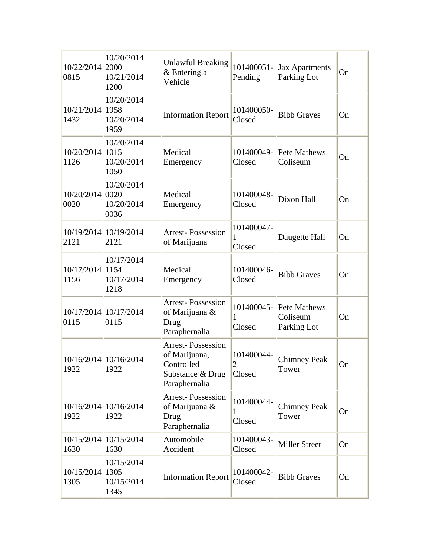| 10/22/2014 2000<br>0815 | 10/20/2014<br>10/21/2014<br>1200 | <b>Unlawful Breaking</b><br>& Entering a<br>Vehicle                                          | 101400051-<br>Pending                  | <b>Jax Apartments</b><br>Parking Lot               | On |
|-------------------------|----------------------------------|----------------------------------------------------------------------------------------------|----------------------------------------|----------------------------------------------------|----|
| 10/21/2014 1958<br>1432 | 10/20/2014<br>10/20/2014<br>1959 | <b>Information Report</b>                                                                    | 101400050-<br>Closed                   | <b>Bibb Graves</b>                                 | On |
| 10/20/2014 1015<br>1126 | 10/20/2014<br>10/20/2014<br>1050 | Medical<br>Emergency                                                                         | 101400049-<br>Closed                   | Pete Mathews<br>Coliseum                           | On |
| 10/20/2014 0020<br>0020 | 10/20/2014<br>10/20/2014<br>0036 | Medical<br>Emergency                                                                         | 101400048-<br>Closed                   | Dixon Hall                                         | On |
| 2121                    | 10/19/2014 10/19/2014<br>2121    | <b>Arrest-Possession</b><br>of Marijuana                                                     | 101400047-<br>1<br>Closed              | Daugette Hall                                      | On |
| 10/17/2014 1154<br>1156 | 10/17/2014<br>10/17/2014<br>1218 | Medical<br>Emergency                                                                         | 101400046-<br>Closed                   | <b>Bibb Graves</b>                                 | On |
| 0115                    | 10/17/2014 10/17/2014<br>0115    | <b>Arrest-Possession</b><br>of Marijuana &<br>Drug<br>Paraphernalia                          | 1<br>Closed                            | 101400045- Pete Mathews<br>Coliseum<br>Parking Lot | On |
| 1922                    | 10/16/2014 10/16/2014<br>1922    | <b>Arrest-Possession</b><br>of Marijuana,<br>Controlled<br>Substance & Drug<br>Paraphernalia | 101400044-<br>$\overline{2}$<br>Closed | <b>Chimney Peak</b><br>Tower                       | On |
| 1922                    | 10/16/2014 10/16/2014<br>1922    | <b>Arrest-Possession</b><br>of Marijuana &<br>Drug<br>Paraphernalia                          | 101400044-<br>1<br>Closed              | <b>Chimney Peak</b><br>Tower                       | On |
| 1630                    | 10/15/2014 10/15/2014<br>1630    | Automobile<br>Accident                                                                       | 101400043-<br>Closed                   | <b>Miller Street</b>                               | On |
| 10/15/2014 1305<br>1305 | 10/15/2014<br>10/15/2014<br>1345 | <b>Information Report</b>                                                                    | 101400042-<br>Closed                   | <b>Bibb Graves</b>                                 | On |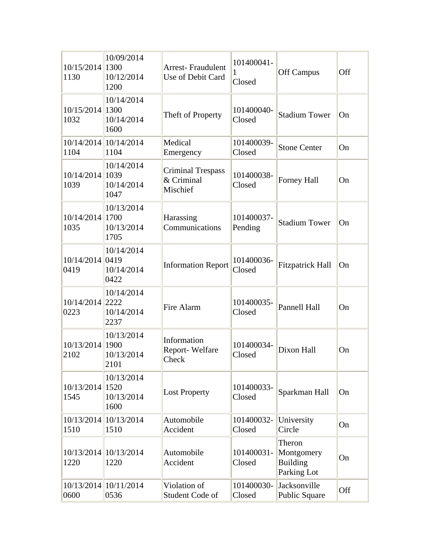| 10/15/2014 1300<br>1130 | 10/09/2014<br>10/12/2014<br>1200         | <b>Arrest-Fraudulent</b><br>Use of Debit Card      | 101400041-<br>$\mathbf{1}$<br>Closed | <b>Off Campus</b>                                      | Off |
|-------------------------|------------------------------------------|----------------------------------------------------|--------------------------------------|--------------------------------------------------------|-----|
| 10/15/2014 1300<br>1032 | 10/14/2014<br>10/14/2014<br>1600         | Theft of Property                                  | 101400040-<br>Closed                 | <b>Stadium Tower</b>                                   | On  |
| 1104                    | 10/14/2014 10/14/2014<br>1104            | Medical<br>Emergency                               | 101400039-<br>Closed                 | <b>Stone Center</b>                                    | On  |
| 10/14/2014 1039<br>1039 | 10/14/2014<br>10/14/2014<br>1047         | <b>Criminal Trespass</b><br>& Criminal<br>Mischief | 101400038-<br>Closed                 | Forney Hall                                            | On  |
| 10/14/2014 1700<br>1035 | 10/13/2014<br>10/13/2014<br>1705         | Harassing<br>Communications                        | 101400037-<br>Pending                | <b>Stadium Tower</b>                                   | On  |
| 10/14/2014 0419<br>0419 | 10/14/2014<br>10/14/2014<br>0422         | <b>Information Report</b>                          | 101400036-<br>Closed                 | <b>Fitzpatrick Hall</b>                                | On  |
| 10/14/2014 2222<br>0223 | 10/14/2014<br>10/14/2014<br>2237         | Fire Alarm                                         | 101400035-<br>Closed                 | Pannell Hall                                           | On  |
| 10/13/2014 1900<br>2102 | 10/13/2014<br>10/13/2014<br>2101         | Information<br>Report-Welfare<br>Check             | 101400034-<br>Closed                 | Dixon Hall                                             | On  |
| 10/13/2014<br>1545      | 10/13/2014<br>1520<br>10/13/2014<br>1600 | <b>Lost Property</b>                               | 101400033-<br>Closed                 | Sparkman Hall                                          | On  |
| 10/13/2014<br>1510      | 10/13/2014<br>1510                       | Automobile<br>Accident                             | 101400032-<br>Closed                 | University<br>Circle                                   | On  |
| 1220                    | 10/13/2014 10/13/2014<br>1220            | Automobile<br>Accident                             | 101400031-<br>Closed                 | Theron<br>Montgomery<br><b>Building</b><br>Parking Lot | On  |
| 10/13/2014<br>0600      | 10/11/2014<br>0536                       | Violation of<br>Student Code of                    | 101400030-<br>Closed                 | Jacksonville<br>Public Square                          | Off |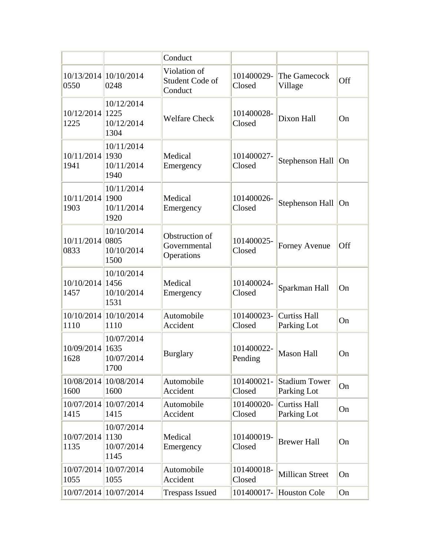|                         |                                          | Conduct                                      |                       |                                     |     |
|-------------------------|------------------------------------------|----------------------------------------------|-----------------------|-------------------------------------|-----|
| 0550                    | 10/13/2014 10/10/2014<br>0248            | Violation of<br>Student Code of<br>Conduct   | 101400029-<br>Closed  | The Gamecock<br>Village             | Off |
| 10/12/2014 1225<br>1225 | 10/12/2014<br>10/12/2014<br>1304         | <b>Welfare Check</b>                         | 101400028-<br>Closed  | Dixon Hall                          | On  |
| 10/11/2014 1930<br>1941 | 10/11/2014<br>10/11/2014<br>1940         | Medical<br>Emergency                         | 101400027-<br>Closed  | Stephenson Hall                     | On  |
| 10/11/2014 1900<br>1903 | 10/11/2014<br>10/11/2014<br>1920         | Medical<br>Emergency                         | 101400026-<br>Closed  | Stephenson Hall On                  |     |
| 10/11/2014 0805<br>0833 | 10/10/2014<br>10/10/2014<br>1500         | Obstruction of<br>Governmental<br>Operations | 101400025-<br>Closed  | Forney Avenue                       | Off |
| 10/10/2014 1456<br>1457 | 10/10/2014<br>10/10/2014<br>1531         | Medical<br>Emergency                         | 101400024-<br>Closed  | Sparkman Hall                       | On  |
| 1110                    | 10/10/2014 10/10/2014<br>1110            | Automobile<br>Accident                       | 101400023-<br>Closed  | <b>Curtiss Hall</b><br>Parking Lot  | On  |
| 10/09/2014<br>1628      | 10/07/2014<br>1635<br>10/07/2014<br>1700 | <b>Burglary</b>                              | 101400022-<br>Pending | <b>Mason Hall</b>                   | On  |
| 10/08/2014<br>1600      | 10/08/2014<br>1600                       | Automobile<br>Accident                       | 101400021-<br>Closed  | <b>Stadium Tower</b><br>Parking Lot | On  |
| 10/07/2014<br>1415      | 10/07/2014<br>1415                       | Automobile<br>Accident                       | 101400020-<br>Closed  | <b>Curtiss Hall</b><br>Parking Lot  | On  |
| 10/07/2014<br>1135      | 10/07/2014<br>1130<br>10/07/2014<br>1145 | Medical<br>Emergency                         | 101400019-<br>Closed  | <b>Brewer Hall</b>                  | On  |
| 10/07/2014<br>1055      | 10/07/2014<br>1055                       | Automobile<br>Accident                       | 101400018-<br>Closed  | <b>Millican Street</b>              | On  |
| 10/07/2014              | 10/07/2014                               | <b>Trespass Issued</b>                       | 101400017-            | <b>Houston Cole</b>                 | On  |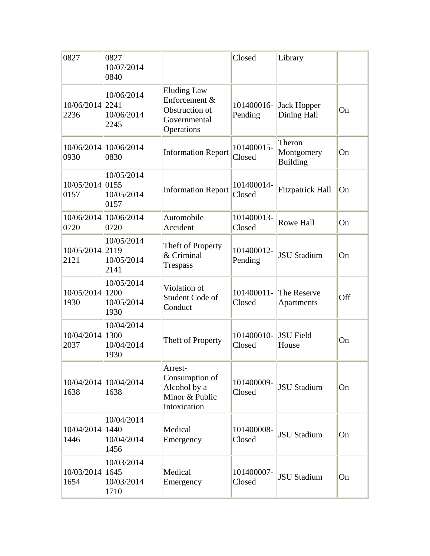| 0827                    | 0827<br>10/07/2014<br>0840       |                                                                                     | Closed                | Library                                 |           |
|-------------------------|----------------------------------|-------------------------------------------------------------------------------------|-----------------------|-----------------------------------------|-----------|
| 10/06/2014 2241<br>2236 | 10/06/2014<br>10/06/2014<br>2245 | <b>Eluding Law</b><br>Enforcement &<br>Obstruction of<br>Governmental<br>Operations | 101400016-<br>Pending | Jack Hopper<br>Dining Hall              | On        |
| 0930                    | 10/06/2014 10/06/2014<br>0830    | <b>Information Report</b>                                                           | 101400015-<br>Closed  | Theron<br>Montgomery<br><b>Building</b> | On        |
| 10/05/2014 0155<br>0157 | 10/05/2014<br>10/05/2014<br>0157 | <b>Information Report</b>                                                           | 101400014-<br>Closed  | <b>Fitzpatrick Hall</b>                 | On        |
| 0720                    | 10/06/2014 10/06/2014<br>0720    | Automobile<br>Accident                                                              | 101400013-<br>Closed  | <b>Rowe Hall</b>                        | On        |
| 10/05/2014 2119<br>2121 | 10/05/2014<br>10/05/2014<br>2141 | Theft of Property<br>& Criminal<br><b>Trespass</b>                                  | 101400012-<br>Pending | <b>JSU Stadium</b>                      | On        |
| 10/05/2014 1200<br>1930 | 10/05/2014<br>10/05/2014<br>1930 | Violation of<br>Student Code of<br>Conduct                                          | 101400011-<br>Closed  | The Reserve<br>Apartments               | Off       |
| 10/04/2014 1300<br>2037 | 10/04/2014<br>10/04/2014<br>1930 | Theft of Property                                                                   | 101400010-<br>Closed  | JSU Field<br>House                      | On        |
| 1638                    | 10/04/2014 10/04/2014<br>1638    | Arrest-<br>Consumption of<br>Alcohol by a<br>Minor & Public<br>Intoxication         | 101400009-<br>Closed  | <b>JSU Stadium</b>                      | <b>On</b> |
| 10/04/2014 1440<br>1446 | 10/04/2014<br>10/04/2014<br>1456 | Medical<br>Emergency                                                                | 101400008-<br>Closed  | <b>JSU Stadium</b>                      | On        |
| 10/03/2014 1645<br>1654 | 10/03/2014<br>10/03/2014<br>1710 | Medical<br>Emergency                                                                | 101400007-<br>Closed  | <b>JSU Stadium</b>                      | On        |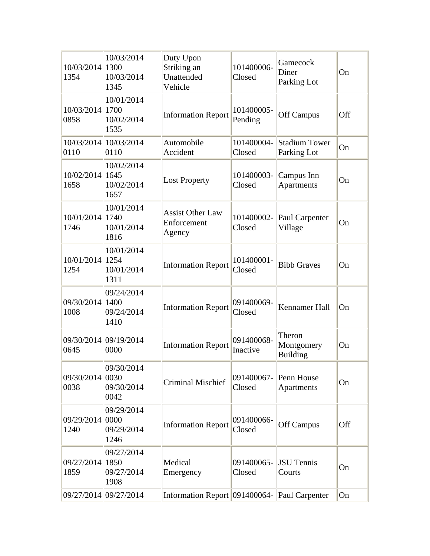| 10/03/2014 1300<br>1354       | 10/03/2014<br>10/03/2014<br>1345          | Duty Upon<br>Striking an<br>Unattended<br>Vehicle | 101400006-<br>Closed   | Gamecock<br>Diner<br>Parking Lot        | On  |
|-------------------------------|-------------------------------------------|---------------------------------------------------|------------------------|-----------------------------------------|-----|
| 10/03/2014 1700<br>0858       | 10/01/2014<br>10/02/2014<br>1535          | <b>Information Report</b>                         | 101400005-<br>Pending  | <b>Off Campus</b>                       | Off |
| 10/03/2014 10/03/2014<br>0110 | 0110                                      | Automobile<br>Accident                            | 101400004-<br>Closed   | <b>Stadium Tower</b><br>Parking Lot     | On  |
| 10/02/2014 1645<br>1658       | 10/02/2014<br>10/02/2014<br>1657          | <b>Lost Property</b>                              | 101400003-<br>Closed   | Campus Inn<br><b>Apartments</b>         | On  |
| 10/01/2014 1740<br>1746       | 10/01/2014<br>10/01/2014<br>1816          | <b>Assist Other Law</b><br>Enforcement<br>Agency  | 101400002-<br>Closed   | Paul Carpenter<br>Village               | On  |
| 10/01/2014 1254<br>1254       | 10/01/2014<br>10/01/2014<br>1311          | <b>Information Report</b>                         | 101400001-<br>Closed   | <b>Bibb Graves</b>                      | On  |
| 09/30/2014 1400<br>1008       | 09/24/2014<br>09/24/2014<br>1410          | <b>Information Report</b>                         | 091400069-<br>Closed   | Kennamer Hall                           | On  |
| 09/30/2014 09/19/2014<br>0645 | 0000                                      | <b>Information Report</b>                         | 091400068-<br>Inactive | Theron<br>Montgomery<br><b>Building</b> | On  |
| 09/30/2014 0030<br>0038       | 09/30/2014<br>09/30/2014<br>0042          | <b>Criminal Mischief</b>                          | 091400067-<br>Closed   | Penn House<br>Apartments                | On  |
| 09/29/2014<br>1240            | 09/29/2014<br> 0000<br>09/29/2014<br>1246 | <b>Information Report</b>                         | 091400066-<br>Closed   | Off Campus                              | Off |
| 09/27/2014<br>1859            | 09/27/2014<br>1850<br>09/27/2014<br>1908  | Medical<br>Emergency                              | 091400065-<br>Closed   | <b>JSU</b> Tennis<br>Courts             | On  |
| 09/27/2014 09/27/2014         |                                           | Information Report 091400064- Paul Carpenter      |                        |                                         | On  |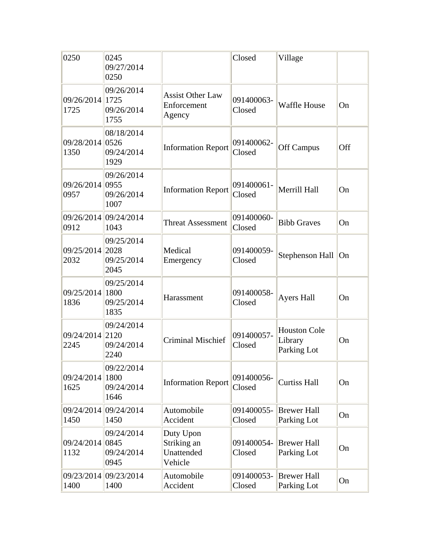| 0250                    | 0245<br>09/27/2014<br>0250               |                                                   | Closed               | Village                                       |     |
|-------------------------|------------------------------------------|---------------------------------------------------|----------------------|-----------------------------------------------|-----|
| 09/26/2014 1725<br>1725 | 09/26/2014<br>09/26/2014<br>1755         | <b>Assist Other Law</b><br>Enforcement<br>Agency  | 091400063-<br>Closed | Waffle House                                  | On  |
| 09/28/2014 0526<br>1350 | 08/18/2014<br>09/24/2014<br>1929         | <b>Information Report</b>                         | 091400062-<br>Closed | <b>Off Campus</b>                             | Off |
| 09/26/2014 0955<br>0957 | 09/26/2014<br>09/26/2014<br>1007         | <b>Information Report</b>                         | 091400061-<br>Closed | Merrill Hall                                  | On  |
| 0912                    | 09/26/2014 09/24/2014<br>1043            | <b>Threat Assessment</b>                          | 091400060-<br>Closed | <b>Bibb Graves</b>                            | On  |
| 09/25/2014 2028<br>2032 | 09/25/2014<br>09/25/2014<br>2045         | Medical<br>Emergency                              | 091400059-<br>Closed | Stephenson Hall On                            |     |
| 09/25/2014 1800<br>1836 | 09/25/2014<br>09/25/2014<br>1835         | Harassment                                        | 091400058-<br>Closed | <b>Ayers Hall</b>                             | On  |
| 09/24/2014 2120<br>2245 | 09/24/2014<br>09/24/2014<br>2240         | <b>Criminal Mischief</b>                          | 091400057-<br>Closed | <b>Houston Cole</b><br>Library<br>Parking Lot | On  |
| 09/24/2014 1800<br>1625 | 09/22/2014<br>09/24/2014<br>1646         | <b>Information Report</b>                         | 091400056-<br>Closed | <b>Curtiss Hall</b>                           | On  |
| 1450                    | 09/24/2014 09/24/2014<br>1450            | Automobile<br>Accident                            | 091400055-<br>Closed | <b>Brewer Hall</b><br>Parking Lot             | On  |
| 09/24/2014<br>1132      | 09/24/2014<br>0845<br>09/24/2014<br>0945 | Duty Upon<br>Striking an<br>Unattended<br>Vehicle | 091400054-<br>Closed | <b>Brewer Hall</b><br>Parking Lot             | On  |
| 09/23/2014<br>1400      | 09/23/2014<br>1400                       | Automobile<br>Accident                            | 091400053-<br>Closed | <b>Brewer Hall</b><br>Parking Lot             | On  |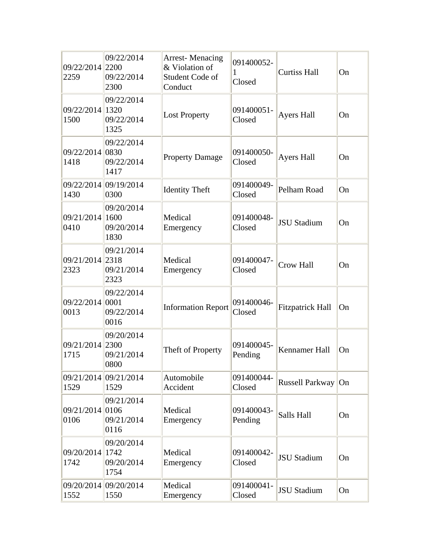| 09/22/2014 2200<br>2259 | 09/22/2014<br>09/22/2014<br>2300         | <b>Arrest-Menacing</b><br>& Violation of<br>Student Code of<br>Conduct | 091400052-<br>1<br>Closed | <b>Curtiss Hall</b>     | On |
|-------------------------|------------------------------------------|------------------------------------------------------------------------|---------------------------|-------------------------|----|
| 09/22/2014 1320<br>1500 | 09/22/2014<br>09/22/2014<br>1325         | <b>Lost Property</b>                                                   | 091400051-<br>Closed      | <b>Ayers Hall</b>       | On |
| 09/22/2014 0830<br>1418 | 09/22/2014<br>09/22/2014<br>1417         | <b>Property Damage</b>                                                 | 091400050-<br>Closed      | <b>Ayers Hall</b>       | On |
| 1430                    | 09/22/2014 09/19/2014<br>0300            | <b>Identity Theft</b>                                                  | 091400049-<br>Closed      | Pelham Road             | On |
| 09/21/2014 1600<br>0410 | 09/20/2014<br>09/20/2014<br>1830         | Medical<br>Emergency                                                   | 091400048-<br>Closed      | <b>JSU Stadium</b>      | On |
| 09/21/2014 2318<br>2323 | 09/21/2014<br>09/21/2014<br>2323         | Medical<br>Emergency                                                   | 091400047-<br>Closed      | <b>Crow Hall</b>        | On |
| 09/22/2014 0001<br>0013 | 09/22/2014<br>09/22/2014<br>0016         | <b>Information Report</b>                                              | 091400046-<br>Closed      | <b>Fitzpatrick Hall</b> | On |
| 09/21/2014 2300<br>1715 | 09/20/2014<br>09/21/2014<br>0800         | Theft of Property                                                      | 091400045-<br>Pending     | Kennamer Hall           | On |
| 1529                    | 09/21/2014 09/21/2014<br>1529            | Automobile<br>Accident                                                 | 091400044-<br>Closed      | Russell Parkway         | On |
| 09/21/2014<br>0106      | 09/21/2014<br>0106<br>09/21/2014<br>0116 | Medical<br>Emergency                                                   | 091400043-<br>Pending     | Salls Hall              | On |
| 09/20/2014<br>1742      | 09/20/2014<br>1742<br>09/20/2014<br>1754 | Medical<br>Emergency                                                   | 091400042-<br>Closed      | <b>JSU Stadium</b>      | On |
| 1552                    | 09/20/2014 09/20/2014<br>1550            | Medical<br>Emergency                                                   | 091400041-<br>Closed      | <b>JSU Stadium</b>      | On |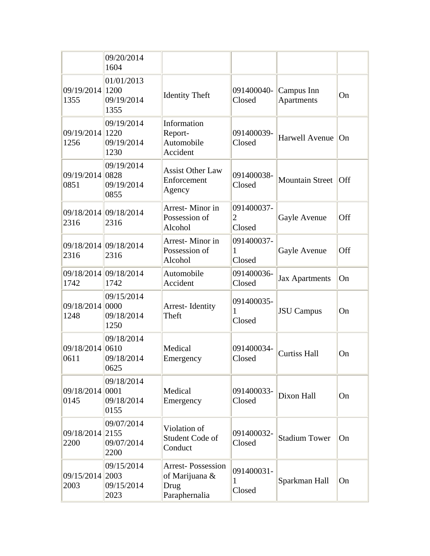|                         | 09/20/2014<br>1604               |                                                                     |                                        |                          |     |
|-------------------------|----------------------------------|---------------------------------------------------------------------|----------------------------------------|--------------------------|-----|
| 09/19/2014 1200<br>1355 | 01/01/2013<br>09/19/2014<br>1355 | <b>Identity Theft</b>                                               | 091400040-<br>Closed                   | Campus Inn<br>Apartments | On  |
| 09/19/2014 1220<br>1256 | 09/19/2014<br>09/19/2014<br>1230 | Information<br>Report-<br>Automobile<br>Accident                    | 091400039-<br>Closed                   | Harwell Avenue           | On  |
| 09/19/2014 0828<br>0851 | 09/19/2014<br>09/19/2014<br>0855 | <b>Assist Other Law</b><br>Enforcement<br>Agency                    | 091400038-<br>Closed                   | <b>Mountain Street</b>   | Off |
| 2316                    | 09/18/2014 09/18/2014<br>2316    | Arrest-Minor in<br>Possession of<br>Alcohol                         | 091400037-<br>$\overline{2}$<br>Closed | Gayle Avenue             | Off |
| 2316                    | 09/18/2014 09/18/2014<br>2316    | Arrest-Minor in<br>Possession of<br>Alcohol                         | 091400037-<br>1<br>Closed              | Gayle Avenue             | Off |
| 1742                    | 09/18/2014 09/18/2014<br>1742    | Automobile<br>Accident                                              | 091400036-<br>Closed                   | <b>Jax Apartments</b>    | On  |
| 09/18/2014 0000<br>1248 | 09/15/2014<br>09/18/2014<br>1250 | Arrest-Identity<br>Theft                                            | 091400035-<br>1<br>Closed              | <b>JSU</b> Campus        | On  |
| 09/18/2014 0610<br>0611 | 09/18/2014<br>09/18/2014<br>0625 | Medical<br>Emergency                                                | 091400034-<br>Closed                   | <b>Curtiss Hall</b>      | On  |
| 09/18/2014 0001<br>0145 | 09/18/2014<br>09/18/2014<br>0155 | Medical<br>Emergency                                                | 091400033-<br>Closed                   | Dixon Hall               | On  |
| 09/18/2014 2155<br>2200 | 09/07/2014<br>09/07/2014<br>2200 | Violation of<br>Student Code of<br>Conduct                          | 091400032-<br>Closed                   | <b>Stadium Tower</b>     | On  |
| 09/15/2014 2003<br>2003 | 09/15/2014<br>09/15/2014<br>2023 | <b>Arrest-Possession</b><br>of Marijuana &<br>Drug<br>Paraphernalia | 091400031-<br>1<br>Closed              | Sparkman Hall            | On  |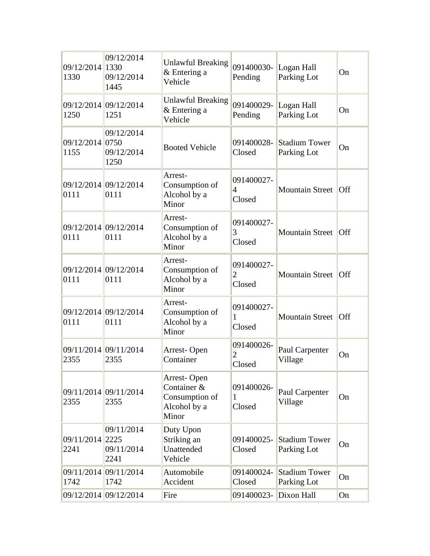| 09/12/2014 1330<br>1330 | 09/12/2014<br>09/12/2014<br>1445 | <b>Unlawful Breaking</b><br>& Entering a<br>Vehicle                   | 091400030-<br>Pending                  | Logan Hall<br>Parking Lot           | On  |
|-------------------------|----------------------------------|-----------------------------------------------------------------------|----------------------------------------|-------------------------------------|-----|
| 1250                    | 09/12/2014 09/12/2014<br>1251    | <b>Unlawful Breaking</b><br>& Entering a<br>Vehicle                   | 091400029-<br>Pending                  | Logan Hall<br>Parking Lot           | On  |
| 09/12/2014 0750<br>1155 | 09/12/2014<br>09/12/2014<br>1250 | <b>Booted Vehicle</b>                                                 | 091400028-<br>Closed                   | <b>Stadium Tower</b><br>Parking Lot | On  |
| 0111                    | 09/12/2014 09/12/2014<br>0111    | Arrest-<br>Consumption of<br>Alcohol by a<br>Minor                    | 091400027-<br>$\overline{4}$<br>Closed | <b>Mountain Street</b>              | Off |
| 0111                    | 09/12/2014 09/12/2014<br>0111    | Arrest-<br>Consumption of<br>Alcohol by a<br>Minor                    | 091400027-<br>3<br>Closed              | <b>Mountain Street</b>              | Off |
| 0111                    | 09/12/2014 09/12/2014<br>0111    | Arrest-<br>Consumption of<br>Alcohol by a<br>Minor                    | 091400027-<br>$\overline{2}$<br>Closed | <b>Mountain Street</b>              | Off |
| 0111                    | 09/12/2014 09/12/2014<br>0111    | Arrest-<br>Consumption of<br>Alcohol by a<br>Minor                    | 091400027-<br>1<br>Closed              | <b>Mountain Street</b>              | Off |
| 2355                    | 09/11/2014 09/11/2014<br>2355    | Arrest-Open<br>Container                                              | 091400026-<br>2<br>Closed              | Paul Carpenter<br>Village           | On  |
| 2355                    | 09/11/2014 09/11/2014<br>2355    | Arrest-Open<br>Container &<br>Consumption of<br>Alcohol by a<br>Minor | 091400026-<br>1<br>Closed              | Paul Carpenter<br>Village           | On  |
| 09/11/2014 2225<br>2241 | 09/11/2014<br>09/11/2014<br>2241 | Duty Upon<br>Striking an<br>Unattended<br>Vehicle                     | 091400025-<br>Closed                   | <b>Stadium Tower</b><br>Parking Lot | On  |
| 1742                    | 09/11/2014 09/11/2014<br>1742    | Automobile<br>Accident                                                | 091400024-<br>Closed                   | <b>Stadium Tower</b><br>Parking Lot | On  |
|                         | 09/12/2014 09/12/2014            | Fire                                                                  | 091400023- Dixon Hall                  |                                     | On  |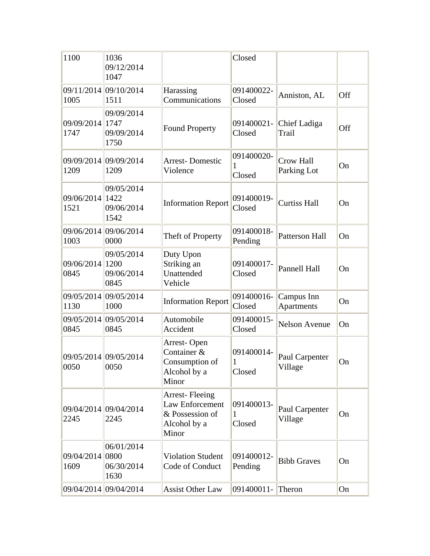| 1100                    | 1036<br>09/12/2014<br>1047               |                                                                               | Closed                    |                                 |     |
|-------------------------|------------------------------------------|-------------------------------------------------------------------------------|---------------------------|---------------------------------|-----|
| 1005                    | 09/11/2014 09/10/2014<br>1511            | Harassing<br>Communications                                                   | 091400022-<br>Closed      | Anniston, AL                    | Off |
| 09/09/2014<br>1747      | 09/09/2014<br>1747<br>09/09/2014<br>1750 | <b>Found Property</b>                                                         | 091400021-<br>Closed      | Chief Ladiga<br>Trail           | Off |
| 1209                    | 09/09/2014 09/09/2014<br>1209            | <b>Arrest-Domestic</b><br>Violence                                            | 091400020-<br>1<br>Closed | <b>Crow Hall</b><br>Parking Lot | On  |
| 09/06/2014<br>1521      | 09/05/2014<br>1422<br>09/06/2014<br>1542 | <b>Information Report</b>                                                     | 091400019-<br>Closed      | <b>Curtiss Hall</b>             | On  |
| 1003                    | 09/06/2014 09/06/2014<br>0000            | Theft of Property                                                             | 091400018-<br>Pending     | Patterson Hall                  | On  |
| 09/06/2014<br>0845      | 09/05/2014<br>1200<br>09/06/2014<br>0845 | Duty Upon<br>Striking an<br>Unattended<br>Vehicle                             | 091400017-<br>Closed      | Pannell Hall                    | On  |
| 1130                    | 09/05/2014 09/05/2014<br>1000            | <b>Information Report</b>                                                     | 091400016-<br>Closed      | Campus Inn<br>Apartments        | On  |
| 0845                    | 09/05/2014 09/05/2014<br>0845            | Automobile<br>Accident                                                        | 091400015-<br>Closed      | <b>Nelson Avenue</b>            | On  |
| 0050                    | 09/05/2014 09/05/2014<br>0050            | Arrest-Open<br>Container &<br>Consumption of<br>Alcohol by a<br>Minor         | 091400014-<br>1<br>Closed | Paul Carpenter<br>Village       | On  |
| 2245                    | 09/04/2014 09/04/2014<br>2245            | Arrest-Fleeing<br>Law Enforcement<br>& Possession of<br>Alcohol by a<br>Minor | 091400013-<br>1<br>Closed | Paul Carpenter<br>Village       | On  |
| 09/04/2014 0800<br>1609 | 06/01/2014<br>06/30/2014<br>1630         | <b>Violation Student</b><br>Code of Conduct                                   | 091400012-<br>Pending     | <b>Bibb Graves</b>              | On  |
|                         | 09/04/2014 09/04/2014                    | <b>Assist Other Law</b>                                                       | 091400011-                | Theron                          | On  |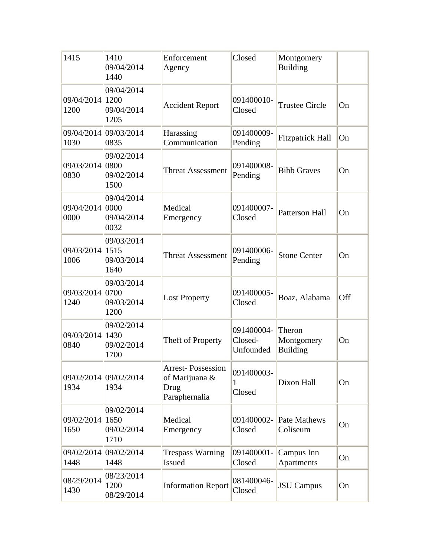| 1415                    | 1410<br>09/04/2014<br>1440               | Enforcement<br>Agency                                               | Closed                             | Montgomery<br><b>Building</b>           |     |
|-------------------------|------------------------------------------|---------------------------------------------------------------------|------------------------------------|-----------------------------------------|-----|
| 09/04/2014 1200<br>1200 | 09/04/2014<br>09/04/2014<br>1205         | <b>Accident Report</b>                                              | 091400010-<br>Closed               | <b>Trustee Circle</b>                   | On  |
| 1030                    | 09/04/2014 09/03/2014<br>0835            | Harassing<br>Communication                                          | 091400009-<br>Pending              | <b>Fitzpatrick Hall</b>                 | On  |
| 09/03/2014 0800<br>0830 | 09/02/2014<br>09/02/2014<br>1500         | <b>Threat Assessment</b>                                            | 091400008-<br>Pending              | <b>Bibb Graves</b>                      | On  |
| 09/04/2014 0000<br>0000 | 09/04/2014<br>09/04/2014<br>0032         | Medical<br>Emergency                                                | 091400007-<br>Closed               | <b>Patterson Hall</b>                   | On  |
| 09/03/2014 1515<br>1006 | 09/03/2014<br>09/03/2014<br>1640         | <b>Threat Assessment</b>                                            | 091400006-<br>Pending              | <b>Stone Center</b>                     | On  |
| 09/03/2014 0700<br>1240 | 09/03/2014<br>09/03/2014<br>1200         | <b>Lost Property</b>                                                | 091400005-<br>Closed               | Boaz, Alabama                           | Off |
| 09/03/2014 1430<br>0840 | 09/02/2014<br>09/02/2014<br>1700         | Theft of Property                                                   | 091400004-<br>Closed-<br>Unfounded | Theron<br>Montgomery<br><b>Building</b> | On  |
| 1934                    | 09/02/2014 09/02/2014<br>1934            | <b>Arrest-Possession</b><br>of Marijuana &<br>Drug<br>Paraphernalia | 091400003-<br>1<br>Closed          | Dixon Hall                              | On  |
| 09/02/2014<br>1650      | 09/02/2014<br>1650<br>09/02/2014<br>1710 | Medical<br>Emergency                                                | 091400002-<br>Closed               | <b>Pate Mathews</b><br>Coliseum         | On  |
| 1448                    | 09/02/2014 09/02/2014<br>1448            | <b>Trespass Warning</b><br>Issued                                   | 091400001-<br>Closed               | Campus Inn<br>Apartments                | On  |
| 08/29/2014<br>1430      | 08/23/2014<br>1200<br>08/29/2014         | <b>Information Report</b>                                           | 081400046-<br>Closed               | <b>JSU</b> Campus                       | On  |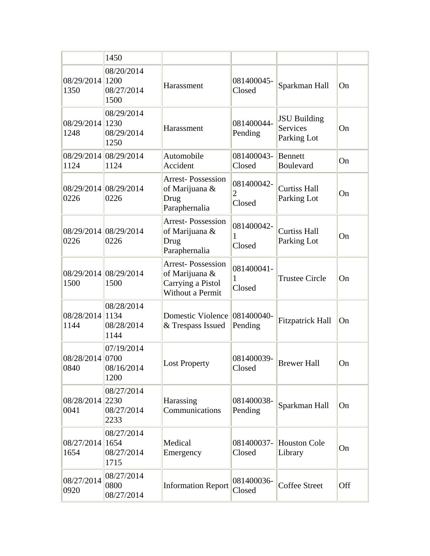|                         | 1450                                     |                                                                                     |                                        |                                                       |            |
|-------------------------|------------------------------------------|-------------------------------------------------------------------------------------|----------------------------------------|-------------------------------------------------------|------------|
| 08/29/2014 1200<br>1350 | 08/20/2014<br>08/27/2014<br>1500         | Harassment                                                                          | 081400045-<br>Closed                   | Sparkman Hall                                         | On         |
| 08/29/2014 1230<br>1248 | 08/29/2014<br>08/29/2014<br>1250         | Harassment                                                                          | 081400044-<br>Pending                  | <b>JSU</b> Building<br><b>Services</b><br>Parking Lot | On         |
| 1124                    | 08/29/2014 08/29/2014<br>1124            | Automobile<br>Accident                                                              | 081400043-<br>Closed                   | <b>Bennett</b><br>Boulevard                           | On         |
| 0226                    | 08/29/2014 08/29/2014<br>0226            | <b>Arrest-Possession</b><br>of Marijuana &<br>Drug<br>Paraphernalia                 | 081400042-<br>$\overline{2}$<br>Closed | <b>Curtiss Hall</b><br>Parking Lot                    | On         |
| 0226                    | 08/29/2014 08/29/2014<br>0226            | <b>Arrest-Possession</b><br>of Marijuana &<br>Drug<br>Paraphernalia                 | 081400042-<br>1<br>Closed              | <b>Curtiss Hall</b><br>Parking Lot                    | On         |
| 1500                    | 08/29/2014 08/29/2014<br>1500            | <b>Arrest-Possession</b><br>of Marijuana &<br>Carrying a Pistol<br>Without a Permit | 081400041-<br>1<br>Closed              | <b>Trustee Circle</b>                                 | On         |
| 08/28/2014 1134<br>1144 | 08/28/2014<br>08/28/2014<br>1144         | <b>Domestic Violence</b><br>& Trespass Issued                                       | 081400040-<br>Pending                  | <b>Fitzpatrick Hall</b>                               | On         |
| 08/28/2014 0700<br>0840 | 07/19/2014<br>08/16/2014<br>1200         | <b>Lost Property</b>                                                                | 081400039-<br>Closed                   | <b>Brewer Hall</b>                                    | On         |
| 08/28/2014<br>0041      | 08/27/2014<br>2230<br>08/27/2014<br>2233 | Harassing<br>Communications                                                         | 081400038-<br>Pending                  | Sparkman Hall                                         | On         |
| 08/27/2014<br>1654      | 08/27/2014<br>1654<br>08/27/2014<br>1715 | Medical<br>Emergency                                                                | 081400037-<br>Closed                   | <b>Houston Cole</b><br>Library                        | On         |
| 08/27/2014<br>0920      | 08/27/2014<br>0800<br>08/27/2014         | <b>Information Report</b>                                                           | 081400036-<br>Closed                   | <b>Coffee Street</b>                                  | <b>Off</b> |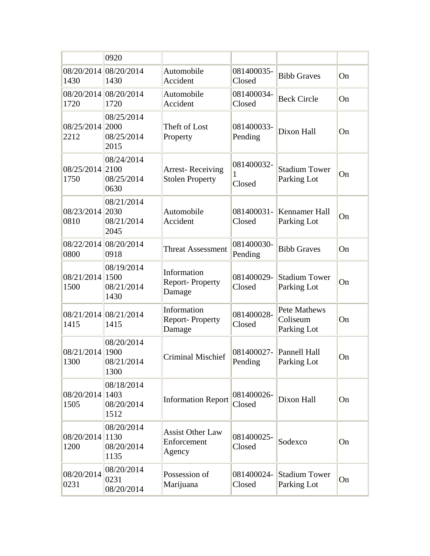|                    | 0920                                      |                                                   |                           |                                         |    |
|--------------------|-------------------------------------------|---------------------------------------------------|---------------------------|-----------------------------------------|----|
| 08/20/2014<br>1430 | 08/20/2014<br>1430                        | Automobile<br>Accident                            | 081400035-<br>Closed      | <b>Bibb Graves</b>                      | On |
| 08/20/2014<br>1720 | 08/20/2014<br>1720                        | Automobile<br>Accident                            | 081400034-<br>Closed      | <b>Beck Circle</b>                      | On |
| 08/25/2014<br>2212 | 08/25/2014<br>2000<br>08/25/2014<br>2015  | Theft of Lost<br>Property                         | 081400033-<br>Pending     | Dixon Hall                              | On |
| 08/25/2014<br>1750 | 08/24/2014<br>2100<br>08/25/2014<br>0630  | <b>Arrest-Receiving</b><br><b>Stolen Property</b> | 081400032-<br>1<br>Closed | <b>Stadium Tower</b><br>Parking Lot     | On |
| 08/23/2014<br>0810 | 08/21/2014<br>2030<br>08/21/2014<br>2045  | Automobile<br>Accident                            | 081400031-<br>Closed      | Kennamer Hall<br>Parking Lot            | On |
| 0800               | 08/22/2014 08/20/2014<br>0918             | <b>Threat Assessment</b>                          | 081400030-<br>Pending     | <b>Bibb Graves</b>                      | On |
| 08/21/2014<br>1500 | 08/19/2014<br>1500<br>08/21/2014<br>1430  | Information<br><b>Report-Property</b><br>Damage   | 081400029-<br>Closed      | <b>Stadium Tower</b><br>Parking Lot     | On |
| 1415               | 08/21/2014 08/21/2014<br>1415             | Information<br><b>Report-Property</b><br>Damage   | 081400028-<br>Closed      | Pete Mathews<br>Coliseum<br>Parking Lot | On |
| 08/21/2014<br>1300 | 08/20/2014<br>1900<br>08/21/2014<br>1300  | <b>Criminal Mischief</b>                          | 081400027-<br>Pending     | Pannell Hall<br>Parking Lot             | On |
| 08/20/2014<br>1505 | 08/18/2014<br> 1403<br>08/20/2014<br>1512 | <b>Information Report</b>                         | 081400026-<br>Closed      | Dixon Hall                              | On |
| 08/20/2014<br>1200 | 08/20/2014<br>1130<br>08/20/2014<br>1135  | <b>Assist Other Law</b><br>Enforcement<br>Agency  | 081400025-<br>Closed      | Sodexco                                 | On |
| 08/20/2014<br>0231 | 08/20/2014<br>0231<br>08/20/2014          | Possession of<br>Marijuana                        | 081400024-<br>Closed      | <b>Stadium Tower</b><br>Parking Lot     | On |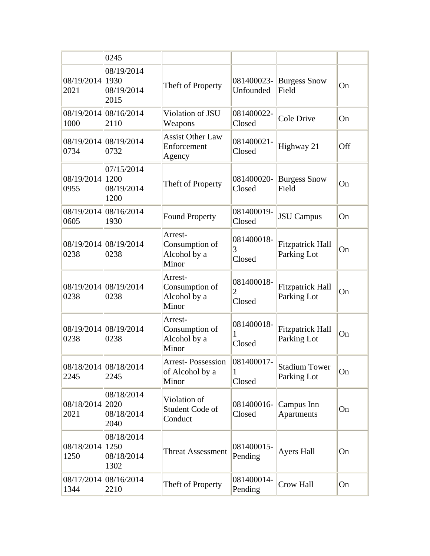|                         | 0245                                     |                                                      |                           |                                        |     |
|-------------------------|------------------------------------------|------------------------------------------------------|---------------------------|----------------------------------------|-----|
| 08/19/2014 1930<br>2021 | 08/19/2014<br>08/19/2014<br>2015         | Theft of Property                                    | 081400023-<br>Unfounded   | <b>Burgess Snow</b><br>Field           | On  |
| 1000                    | 08/19/2014 08/16/2014<br>2110            | Violation of JSU<br>Weapons                          | 081400022-<br>Closed      | <b>Cole Drive</b>                      | On  |
| 0734                    | 08/19/2014 08/19/2014<br>0732            | <b>Assist Other Law</b><br>Enforcement<br>Agency     | 081400021-<br>Closed      | Highway 21                             | Off |
| 08/19/2014 1200<br>0955 | 07/15/2014<br>08/19/2014<br>1200         | Theft of Property                                    | 081400020-<br>Closed      | <b>Burgess Snow</b><br>Field           | On  |
| 0605                    | 08/19/2014 08/16/2014<br>1930            | <b>Found Property</b>                                | 081400019-<br>Closed      | <b>JSU</b> Campus                      | On  |
| 0238                    | 08/19/2014 08/19/2014<br>0238            | Arrest-<br>Consumption of<br>Alcohol by a<br>Minor   | 081400018-<br>3<br>Closed | <b>Fitzpatrick Hall</b><br>Parking Lot | On  |
| 0238                    | 08/19/2014 08/19/2014<br>0238            | Arrest-<br>Consumption of<br>Alcohol by a<br>Minor   | 081400018-<br>2<br>Closed | <b>Fitzpatrick Hall</b><br>Parking Lot | On  |
| 0238                    | 08/19/2014 08/19/2014<br>0238            | Arrest-<br>Consumption of<br>Alcohol by a<br>Minor   | 081400018-<br>Closed      | <b>Fitzpatrick Hall</b><br>Parking Lot | On  |
| 2245                    | 08/18/2014 08/18/2014<br>2245            | <b>Arrest-Possession</b><br>of Alcohol by a<br>Minor | 081400017-<br>1<br>Closed | <b>Stadium Tower</b><br>Parking Lot    | On  |
| 08/18/2014<br>2021      | 08/18/2014<br>2020<br>08/18/2014<br>2040 | Violation of<br>Student Code of<br>Conduct           | 081400016-<br>Closed      | Campus Inn<br><b>Apartments</b>        | On  |
| 08/18/2014<br>1250      | 08/18/2014<br>1250<br>08/18/2014<br>1302 | <b>Threat Assessment</b>                             | 081400015-<br>Pending     | <b>Ayers Hall</b>                      | On  |
| 08/17/2014<br>1344      | 08/16/2014<br>2210                       | Theft of Property                                    | 081400014-<br>Pending     | Crow Hall                              | On  |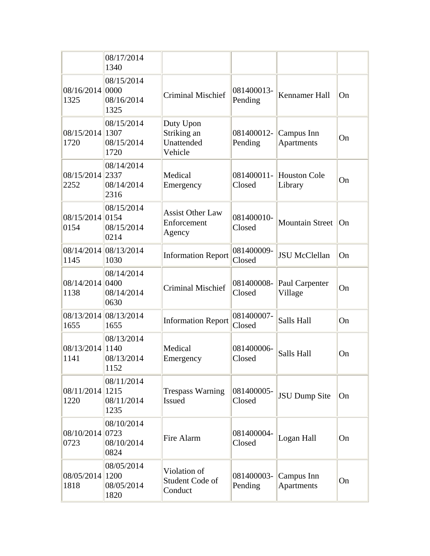|                         | 08/17/2014<br>1340                        |                                                   |                       |                                 |    |
|-------------------------|-------------------------------------------|---------------------------------------------------|-----------------------|---------------------------------|----|
| 08/16/2014 0000<br>1325 | 08/15/2014<br>08/16/2014<br>1325          | <b>Criminal Mischief</b>                          | 081400013-<br>Pending | <b>Kennamer Hall</b>            | On |
| 08/15/2014 1307<br>1720 | 08/15/2014<br>08/15/2014<br>1720          | Duty Upon<br>Striking an<br>Unattended<br>Vehicle | 081400012-<br>Pending | Campus Inn<br>Apartments        | On |
| 08/15/2014 2337<br>2252 | 08/14/2014<br>08/14/2014<br>2316          | Medical<br>Emergency                              | 081400011-<br>Closed  | <b>Houston Cole</b><br>Library  | On |
| 08/15/2014 0154<br>0154 | 08/15/2014<br>08/15/2014<br>0214          | <b>Assist Other Law</b><br>Enforcement<br>Agency  | 081400010-<br>Closed  | Mountain Street                 | On |
| 1145                    | 08/14/2014 08/13/2014<br>1030             | <b>Information Report</b>                         | 081400009-<br>Closed  | <b>JSU McClellan</b>            | On |
| 08/14/2014<br>1138      | 08/14/2014<br> 0400<br>08/14/2014<br>0630 | <b>Criminal Mischief</b>                          | 081400008-<br>Closed  | Paul Carpenter<br>Village       | On |
| 1655                    | 08/13/2014 08/13/2014<br>1655             | <b>Information Report</b>                         | 081400007-<br>Closed  | Salls Hall                      | On |
| 08/13/2014 1140<br>1141 | 08/13/2014<br>08/13/2014<br>1152          | Medical<br>Emergency                              | 081400006-<br>Closed  | Salls Hall                      | On |
| 08/11/2014 1215<br>1220 | 08/11/2014<br>08/11/2014<br>1235          | <b>Trespass Warning</b><br><b>Issued</b>          | 081400005-<br>Closed  | <b>JSU Dump Site</b>            | On |
| 08/10/2014 0723<br>0723 | 08/10/2014<br>08/10/2014<br>0824          | Fire Alarm                                        | 081400004-<br>Closed  | Logan Hall                      | On |
| 08/05/2014 1200<br>1818 | 08/05/2014<br>08/05/2014<br>1820          | Violation of<br>Student Code of<br>Conduct        | 081400003-<br>Pending | Campus Inn<br><b>Apartments</b> | On |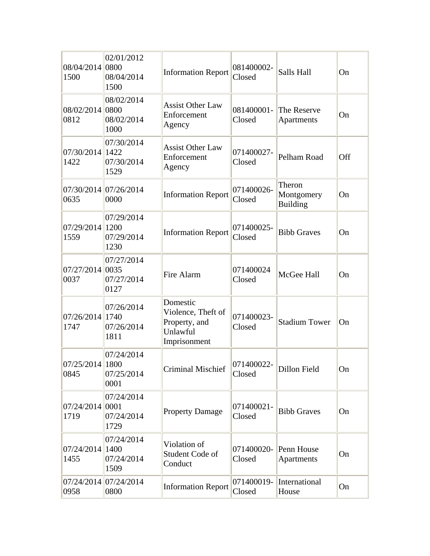| 08/04/2014 0800<br>1500 | 02/01/2012<br>08/04/2014<br>1500 | <b>Information Report</b>                                                   | 081400002-<br>Closed | Salls Hall                              | On  |
|-------------------------|----------------------------------|-----------------------------------------------------------------------------|----------------------|-----------------------------------------|-----|
| 08/02/2014 0800<br>0812 | 08/02/2014<br>08/02/2014<br>1000 | <b>Assist Other Law</b><br>Enforcement<br>Agency                            | 081400001-<br>Closed | The Reserve<br>Apartments               | On  |
| 07/30/2014 1422<br>1422 | 07/30/2014<br>07/30/2014<br>1529 | <b>Assist Other Law</b><br>Enforcement<br>Agency                            | 071400027-<br>Closed | Pelham Road                             | Off |
| 0635                    | 07/30/2014 07/26/2014<br>0000    | <b>Information Report</b>                                                   | 071400026-<br>Closed | Theron<br>Montgomery<br><b>Building</b> | On  |
| 07/29/2014 1200<br>1559 | 07/29/2014<br>07/29/2014<br>1230 | <b>Information Report</b>                                                   | 071400025-<br>Closed | <b>Bibb Graves</b>                      | On  |
| 07/27/2014 0035<br>0037 | 07/27/2014<br>07/27/2014<br>0127 | Fire Alarm                                                                  | 071400024<br>Closed  | McGee Hall                              | On  |
| 07/26/2014 1740<br>1747 | 07/26/2014<br>07/26/2014<br>1811 | Domestic<br>Violence, Theft of<br>Property, and<br>Unlawful<br>Imprisonment | 071400023-<br>Closed | <b>Stadium Tower</b>                    | On  |
| 07/25/2014 1800<br>0845 | 07/24/2014<br>07/25/2014<br>0001 | Criminal Mischief                                                           | 071400022-<br>Closed | Dillon Field                            | On  |
| 07/24/2014 0001<br>1719 | 07/24/2014<br>07/24/2014<br>1729 | <b>Property Damage</b>                                                      | 071400021-<br>Closed | <b>Bibb Graves</b>                      | On  |
| 07/24/2014 1400<br>1455 | 07/24/2014<br>07/24/2014<br>1509 | Violation of<br>Student Code of<br>Conduct                                  | 071400020-<br>Closed | Penn House<br>Apartments                | On  |
| 0958                    | 07/24/2014 07/24/2014<br>0800    | <b>Information Report</b>                                                   | 071400019-<br>Closed | International<br>House                  | On  |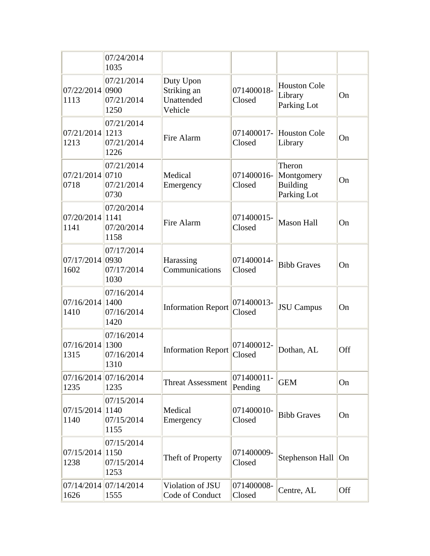|                            | 07/24/2014<br>1035                        |                                                   |                       |                                                        |           |
|----------------------------|-------------------------------------------|---------------------------------------------------|-----------------------|--------------------------------------------------------|-----------|
| 07/22/2014 0900<br>1113    | 07/21/2014<br>07/21/2014<br>1250          | Duty Upon<br>Striking an<br>Unattended<br>Vehicle | 071400018-<br>Closed  | <b>Houston Cole</b><br>Library<br>Parking Lot          | On        |
| 07/21/2014 1213<br>1213    | 07/21/2014<br>07/21/2014<br>1226          | Fire Alarm                                        | 071400017-<br>Closed  | <b>Houston Cole</b><br>Library                         | On        |
| $07/21/2014$ 0710<br>0718  | 07/21/2014<br>07/21/2014<br>0730          | Medical<br>Emergency                              | 071400016-<br>Closed  | Theron<br>Montgomery<br><b>Building</b><br>Parking Lot | On        |
| 07/20/2014 1141<br>1141    | 07/20/2014<br>07/20/2014<br>1158          | Fire Alarm                                        | 071400015-<br>Closed  | <b>Mason Hall</b>                                      | On        |
| 07/17/2014 0930<br>1602    | 07/17/2014<br>07/17/2014<br>1030          | Harassing<br>Communications                       | 071400014-<br>Closed  | <b>Bibb Graves</b>                                     | On        |
| $07/16/2014$ 1400<br>1410  | 07/16/2014<br>07/16/2014<br>1420          | <b>Information Report</b>                         | 071400013-<br>Closed  | <b>JSU</b> Campus                                      | On        |
| $07/16/2014$  1300<br>1315 | 07/16/2014<br>07/16/2014<br>1310          | <b>Information Report</b>                         | 071400012-<br>Closed  | Dothan, AL                                             | Off       |
| 1235                       | 07/16/2014 07/16/2014<br>1235             | <b>Threat Assessment</b>                          | 071400011-<br>Pending | <b>GEM</b>                                             | <b>On</b> |
| 07/15/2014<br>1140         | 07/15/2014<br> 1140<br>07/15/2014<br>1155 | Medical<br>Emergency                              | 071400010-<br>Closed  | <b>Bibb Graves</b>                                     | On        |
| 07/15/2014<br>1238         | 07/15/2014<br> 1150<br>07/15/2014<br>1253 | Theft of Property                                 | 071400009-<br>Closed  | Stephenson Hall On                                     |           |
| 1626                       | 07/14/2014 07/14/2014<br>1555             | Violation of JSU<br>Code of Conduct               | 071400008-<br>Closed  | Centre, AL                                             | Off       |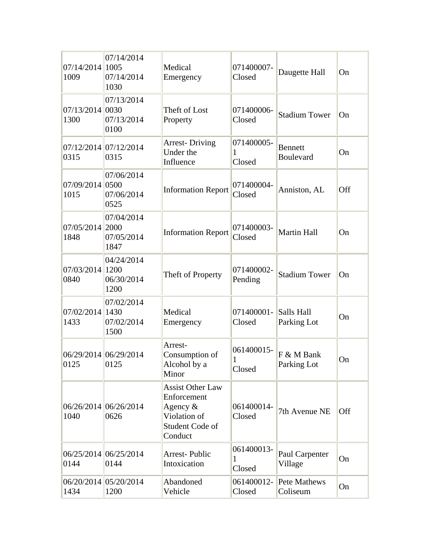| 07/14/2014 1005<br>1009 | 07/14/2014<br>07/14/2014<br>1030         | Medical<br>Emergency                                                                             | 071400007-<br>Closed      | Daugette Hall                      | On  |
|-------------------------|------------------------------------------|--------------------------------------------------------------------------------------------------|---------------------------|------------------------------------|-----|
| 07/13/2014 0030<br>1300 | 07/13/2014<br>07/13/2014<br>0100         | Theft of Lost<br>Property                                                                        | 071400006-<br>Closed      | <b>Stadium Tower</b>               | On  |
| 0315                    | 07/12/2014 07/12/2014<br>0315            | <b>Arrest-Driving</b><br>Under the<br>Influence                                                  | 071400005-<br>1<br>Closed | <b>Bennett</b><br><b>Boulevard</b> | On  |
| 07/09/2014 0500<br>1015 | 07/06/2014<br>07/06/2014<br>0525         | <b>Information Report</b>                                                                        | 071400004-<br>Closed      | Anniston, AL                       | Off |
| 07/05/2014 2000<br>1848 | 07/04/2014<br>07/05/2014<br>1847         | <b>Information Report</b>                                                                        | 071400003-<br>Closed      | <b>Martin Hall</b>                 | On  |
| 07/03/2014<br>0840      | 04/24/2014<br>1200<br>06/30/2014<br>1200 | Theft of Property                                                                                | 071400002-<br>Pending     | <b>Stadium Tower</b>               | On  |
| 07/02/2014 1430<br>1433 | 07/02/2014<br>07/02/2014<br>1500         | Medical<br>Emergency                                                                             | 071400001-<br>Closed      | Salls Hall<br>Parking Lot          | On  |
| 0125                    | 06/29/2014 06/29/2014<br>0125            | Arrest-<br>Consumption of<br>Alcohol by a<br>Minor                                               | 061400015-<br>1<br>Closed | F & M Bank<br>Parking Lot          | On  |
| 1040                    | 06/26/2014 06/26/2014<br>0626            | <b>Assist Other Law</b><br>Enforcement<br>Agency &<br>Violation of<br>Student Code of<br>Conduct | 061400014-<br>Closed      | 7th Avenue NE                      | Off |
| 0144                    | 06/25/2014 06/25/2014<br>0144            | <b>Arrest-Public</b><br>Intoxication                                                             | 061400013-<br>1<br>Closed | Paul Carpenter<br>Village          | On  |
| 1434                    | 06/20/2014 05/20/2014<br>1200            | Abandoned<br>Vehicle                                                                             | 061400012-<br>Closed      | Pete Mathews<br>Coliseum           | On  |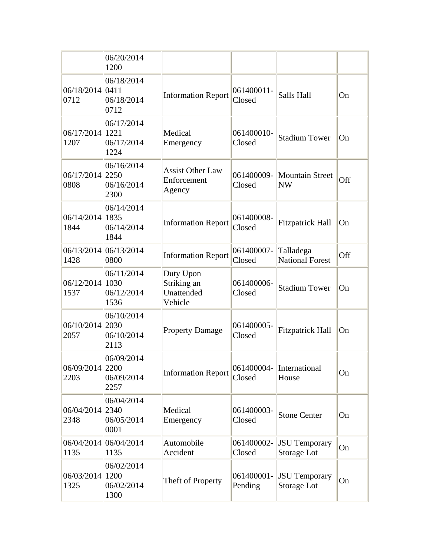|                         | 06/20/2014<br>1200                        |                                                   |                       |                                     |     |
|-------------------------|-------------------------------------------|---------------------------------------------------|-----------------------|-------------------------------------|-----|
| 06/18/2014 0411<br>0712 | 06/18/2014<br>06/18/2014<br>0712          | <b>Information Report</b>                         | 061400011-<br>Closed  | Salls Hall                          | On  |
| 06/17/2014 1221<br>1207 | 06/17/2014<br>06/17/2014<br>1224          | Medical<br>Emergency                              | 061400010-<br>Closed  | <b>Stadium Tower</b>                | On  |
| 06/17/2014 2250<br>0808 | 06/16/2014<br>06/16/2014<br>2300          | <b>Assist Other Law</b><br>Enforcement<br>Agency  | 061400009-<br>Closed  | Mountain Street<br><b>NW</b>        | Off |
| 06/14/2014 1835<br>1844 | 06/14/2014<br>06/14/2014<br>1844          | <b>Information Report</b>                         | 061400008-<br>Closed  | <b>Fitzpatrick Hall</b>             | On  |
| 1428                    | 06/13/2014 06/13/2014<br>0800             | <b>Information Report</b>                         | 061400007-<br>Closed  | Talladega<br><b>National Forest</b> | Off |
| 06/12/2014<br>1537      | 06/11/2014<br> 1030<br>06/12/2014<br>1536 | Duty Upon<br>Striking an<br>Unattended<br>Vehicle | 061400006-<br>Closed  | <b>Stadium Tower</b>                | On  |
| 06/10/2014<br>2057      | 06/10/2014<br>2030<br>06/10/2014<br>2113  | <b>Property Damage</b>                            | 061400005-<br>Closed  | <b>Fitzpatrick Hall</b>             | On  |
| 06/09/2014 2200<br>2203 | 06/09/2014<br>06/09/2014<br>2257          | <b>Information Report</b>                         | 061400004-<br>Closed  | International<br>House              | On  |
| 06/04/2014<br>2348      | 06/04/2014<br>2340<br>06/05/2014<br>0001  | Medical<br>Emergency                              | 061400003-<br>Closed  | <b>Stone Center</b>                 | On  |
| 06/04/2014<br>1135      | 06/04/2014<br>1135                        | Automobile<br>Accident                            | 061400002-<br>Closed  | <b>JSU Temporary</b><br>Storage Lot | On  |
| 06/03/2014<br>1325      | 06/02/2014<br>1200<br>06/02/2014<br>1300  | Theft of Property                                 | 061400001-<br>Pending | <b>JSU</b> Temporary<br>Storage Lot | On  |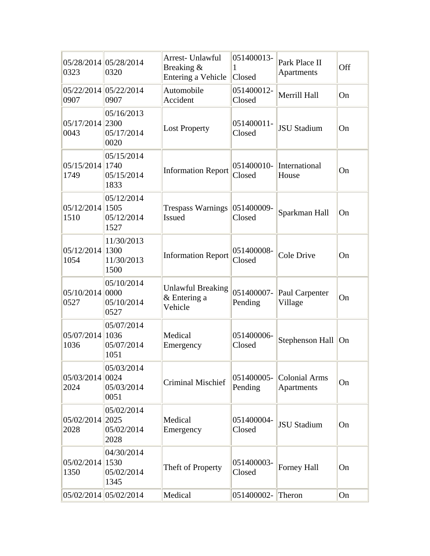| 0323                    | 05/28/2014 05/28/2014<br>0320             | Arrest- Unlawful<br>Breaking &<br>Entering a Vehicle | 051400013-<br>1<br>Closed | Park Place II<br>Apartments | Off |
|-------------------------|-------------------------------------------|------------------------------------------------------|---------------------------|-----------------------------|-----|
| 0907                    | 05/22/2014 05/22/2014<br>0907             | Automobile<br>Accident                               | 051400012-<br>Closed      | Merrill Hall                | On  |
| 05/17/2014 2300<br>0043 | 05/16/2013<br>05/17/2014<br>0020          | <b>Lost Property</b>                                 | 051400011-<br>Closed      | <b>JSU Stadium</b>          | On  |
| 05/15/2014 1740<br>1749 | 05/15/2014<br>05/15/2014<br>1833          | <b>Information Report</b>                            | 051400010-<br>Closed      | International<br>House      | On  |
| 05/12/2014<br>1510      | 05/12/2014<br> 1505<br>05/12/2014<br>1527 | <b>Trespass Warnings</b><br><b>Issued</b>            | 051400009-<br>Closed      | Sparkman Hall               | On  |
| 05/12/2014 1300<br>1054 | 11/30/2013<br>11/30/2013<br>1500          | <b>Information Report</b>                            | 051400008-<br>Closed      | <b>Cole Drive</b>           | On  |
| 05/10/2014 0000<br>0527 | 05/10/2014<br>05/10/2014<br>0527          | <b>Unlawful Breaking</b><br>& Entering a<br>Vehicle  | 051400007-<br>Pending     | Paul Carpenter<br>Village   | On  |
| 05/07/2014 1036<br>1036 | 05/07/2014<br>05/07/2014<br>1051          | Medical<br>Emergency                                 | 051400006-<br>Closed      | Stephenson Hall On          |     |
| 05/03/2014 0024<br>2024 | 05/03/2014<br>05/03/2014<br>0051          | <b>Criminal Mischief</b>                             | 051400005-<br>Pending     | Colonial Arms<br>Apartments | On  |
| 05/02/2014 2025<br>2028 | 05/02/2014<br>05/02/2014<br>2028          | Medical<br>Emergency                                 | 051400004-<br>Closed      | <b>JSU Stadium</b>          | On  |
| 05/02/2014 1530<br>1350 | 04/30/2014<br>05/02/2014<br>1345          | Theft of Property                                    | 051400003-<br>Closed      | Forney Hall                 | On  |
|                         | 05/02/2014 05/02/2014                     | Medical                                              | 051400002-Theron          |                             | On  |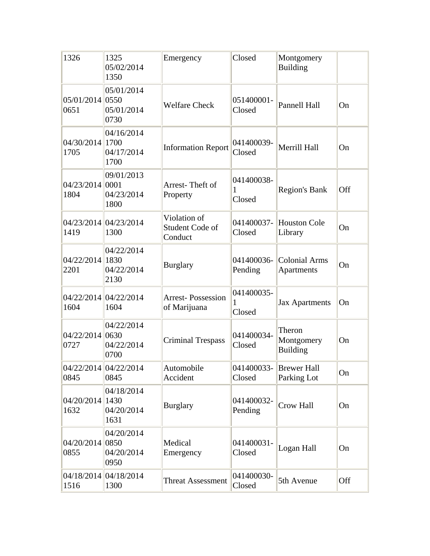| 1326                    | 1325<br>05/02/2014<br>1350                | Emergency                                  | Closed                    | Montgomery<br><b>Building</b>           |     |
|-------------------------|-------------------------------------------|--------------------------------------------|---------------------------|-----------------------------------------|-----|
| 05/01/2014 0550<br>0651 | 05/01/2014<br>05/01/2014<br>0730          | <b>Welfare Check</b>                       | 051400001-<br>Closed      | <b>Pannell Hall</b>                     | On  |
| 04/30/2014 1700<br>1705 | 04/16/2014<br>04/17/2014<br>1700          | <b>Information Report</b>                  | 041400039-<br>Closed      | Merrill Hall                            | On  |
| 04/23/2014 0001<br>1804 | 09/01/2013<br>04/23/2014<br>1800          | Arrest-Theft of<br>Property                | 041400038-<br>1<br>Closed | <b>Region's Bank</b>                    | Off |
| 1419                    | 04/23/2014 04/23/2014<br>1300             | Violation of<br>Student Code of<br>Conduct | 041400037-<br>Closed      | <b>Houston Cole</b><br>Library          | On  |
| 04/22/2014 1830<br>2201 | 04/22/2014<br>04/22/2014<br>2130          | <b>Burglary</b>                            | 041400036-<br>Pending     | <b>Colonial Arms</b><br>Apartments      | On  |
| 1604                    | 04/22/2014 04/22/2014<br>1604             | <b>Arrest-Possession</b><br>of Marijuana   | 041400035-<br>1<br>Closed | <b>Jax Apartments</b>                   | On  |
| 04/22/2014 0630<br>0727 | 04/22/2014<br>04/22/2014<br>0700          | <b>Criminal Trespass</b>                   | 041400034-<br>Closed      | Theron<br>Montgomery<br><b>Building</b> | On  |
| 0845                    | 04/22/2014 04/22/2014<br>0845             | Automobile<br>Accident                     | 041400033-<br>Closed      | Brewer Hall<br>Parking Lot              | On  |
| 04/20/2014<br>1632      | 04/18/2014<br> 1430<br>04/20/2014<br>1631 | <b>Burglary</b>                            | 041400032-<br>Pending     | Crow Hall                               | On  |
| 04/20/2014<br>0855      | 04/20/2014<br>0850<br>04/20/2014<br>0950  | Medical<br>Emergency                       | 041400031-<br>Closed      | Logan Hall                              | On  |
| 1516                    | 04/18/2014 04/18/2014<br>1300             | <b>Threat Assessment</b>                   | 041400030-<br>Closed      | 5th Avenue                              | Off |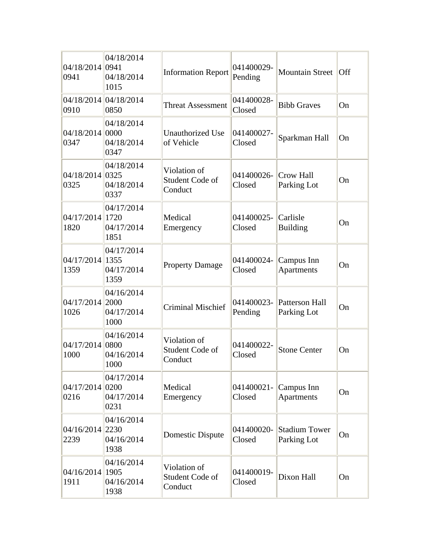| 04/18/2014 0941<br>0941 | 04/18/2014<br>04/18/2014<br>1015         | <b>Information Report</b>                  | 041400029-<br>Pending | <b>Mountain Street</b>              | Off       |
|-------------------------|------------------------------------------|--------------------------------------------|-----------------------|-------------------------------------|-----------|
| 0910                    | 04/18/2014 04/18/2014<br>0850            | <b>Threat Assessment</b>                   | 041400028-<br>Closed  | <b>Bibb Graves</b>                  | On        |
| 04/18/2014 0000<br>0347 | 04/18/2014<br>04/18/2014<br>0347         | <b>Unauthorized Use</b><br>of Vehicle      | 041400027-<br>Closed  | Sparkman Hall                       | On        |
| 04/18/2014 0325<br>0325 | 04/18/2014<br>04/18/2014<br>0337         | Violation of<br>Student Code of<br>Conduct | 041400026-<br>Closed  | Crow Hall<br>Parking Lot            | On        |
| 04/17/2014 1720<br>1820 | 04/17/2014<br>04/17/2014<br>1851         | Medical<br>Emergency                       | 041400025-<br>Closed  | Carlisle<br><b>Building</b>         | On        |
| 04/17/2014 1355<br>1359 | 04/17/2014<br>04/17/2014<br>1359         | <b>Property Damage</b>                     | 041400024-<br>Closed  | Campus Inn<br><b>Apartments</b>     | On        |
| 04/17/2014 2000<br>1026 | 04/16/2014<br>04/17/2014<br>1000         | <b>Criminal Mischief</b>                   | 041400023-<br>Pending | Patterson Hall<br>Parking Lot       | On        |
| 04/17/2014 0800<br>1000 | 04/16/2014<br>04/16/2014<br>1000         | Violation of<br>Student Code of<br>Conduct | 041400022-<br>Closed  | <b>Stone Center</b>                 | On        |
| 04/17/2014 0200<br>0216 | 04/17/2014<br>04/17/2014<br>0231         | Medical<br>Emergency                       | 041400021-<br>Closed  | Campus Inn<br><b>Apartments</b>     | On        |
| 04/16/2014<br>2239      | 04/16/2014<br>2230<br>04/16/2014<br>1938 | <b>Domestic Dispute</b>                    | 041400020-<br>Closed  | <b>Stadium Tower</b><br>Parking Lot | <b>On</b> |
| 04/16/2014<br>1911      | 04/16/2014<br>1905<br>04/16/2014<br>1938 | Violation of<br>Student Code of<br>Conduct | 041400019-<br>Closed  | Dixon Hall                          | On        |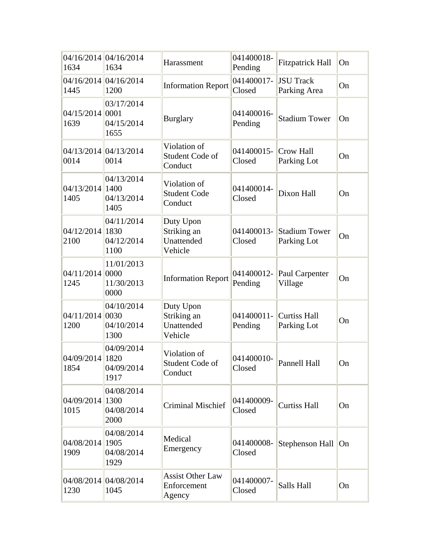| 1634                      | 04/16/2014 04/16/2014<br>1634            | Harassment                                        | 041400018-<br>Pending | <b>Fitzpatrick Hall</b>          | On |
|---------------------------|------------------------------------------|---------------------------------------------------|-----------------------|----------------------------------|----|
| 1445                      | 04/16/2014 04/16/2014<br>1200            | <b>Information Report</b>                         | 041400017-<br>Closed  | <b>JSU Track</b><br>Parking Area | On |
| 04/15/2014 0001<br>1639   | 03/17/2014<br>04/15/2014<br>1655         | <b>Burglary</b>                                   | 041400016-<br>Pending | <b>Stadium Tower</b>             | On |
| 0014                      | 04/13/2014 04/13/2014<br>0014            | Violation of<br>Student Code of<br>Conduct        | 041400015-<br>Closed  | Crow Hall<br>Parking Lot         | On |
| 04/13/2014 1400<br>1405   | 04/13/2014<br>04/13/2014<br>1405         | Violation of<br><b>Student Code</b><br>Conduct    | 041400014-<br>Closed  | Dixon Hall                       | On |
| 04/12/2014<br>2100        | 04/11/2014<br>1830<br>04/12/2014<br>1100 | Duty Upon<br>Striking an<br>Unattended<br>Vehicle | 041400013-<br>Closed  | Stadium Tower<br>Parking Lot     | On |
| 04/11/2014 0000<br>1245   | 11/01/2013<br>11/30/2013<br>0000         | <b>Information Report</b>                         | 041400012-<br>Pending | Paul Carpenter<br>Village        | On |
| $04/11/2014$ 0030<br>1200 | 04/10/2014<br>04/10/2014<br>1300         | Duty Upon<br>Striking an<br>Unattended<br>Vehicle | 041400011-<br>Pending | Curtiss Hall<br>Parking Lot      | On |
| 04/09/2014<br>1854        | 04/09/2014<br>1820<br>04/09/2014<br>1917 | Violation of<br>Student Code of<br>Conduct        | 041400010-<br>Closed  | Pannell Hall                     | On |
| 04/09/2014<br>1015        | 04/08/2014<br>1300<br>04/08/2014<br>2000 | <b>Criminal Mischief</b>                          | 041400009-<br>Closed  | <b>Curtiss Hall</b>              | On |
| 04/08/2014<br>1909        | 04/08/2014<br>1905<br>04/08/2014<br>1929 | Medical<br>Emergency                              | 041400008-<br>Closed  | Stephenson Hall On               |    |
| 1230                      | 04/08/2014 04/08/2014<br>1045            | <b>Assist Other Law</b><br>Enforcement<br>Agency  | 041400007-<br>Closed  | Salls Hall                       | On |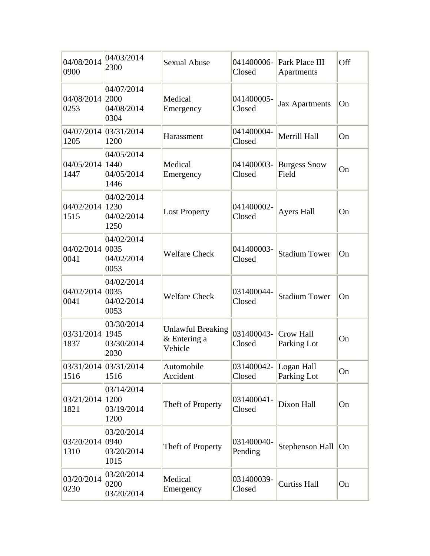| 04/08/2014<br>0900      | 04/03/2014<br>2300               | <b>Sexual Abuse</b>                                 | 041400006-<br>Closed  | Park Place III<br>Apartments | Off |
|-------------------------|----------------------------------|-----------------------------------------------------|-----------------------|------------------------------|-----|
| 04/08/2014 2000<br>0253 | 04/07/2014<br>04/08/2014<br>0304 | Medical<br>Emergency                                | 041400005-<br>Closed  | <b>Jax Apartments</b>        | On  |
| 1205                    | 04/07/2014 03/31/2014<br>1200    | Harassment                                          | 041400004-<br>Closed  | Merrill Hall                 | On  |
| 04/05/2014 1440<br>1447 | 04/05/2014<br>04/05/2014<br>1446 | Medical<br>Emergency                                | 041400003-<br>Closed  | <b>Burgess Snow</b><br>Field | On  |
| 04/02/2014 1230<br>1515 | 04/02/2014<br>04/02/2014<br>1250 | <b>Lost Property</b>                                | 041400002-<br>Closed  | <b>Ayers Hall</b>            | On  |
| 04/02/2014 0035<br>0041 | 04/02/2014<br>04/02/2014<br>0053 | <b>Welfare Check</b>                                | 041400003-<br>Closed  | <b>Stadium Tower</b>         | On  |
| 04/02/2014 0035<br>0041 | 04/02/2014<br>04/02/2014<br>0053 | <b>Welfare Check</b>                                | 031400044-<br>Closed  | <b>Stadium Tower</b>         | On  |
| 03/31/2014 1945<br>1837 | 03/30/2014<br>03/30/2014<br>2030 | <b>Unlawful Breaking</b><br>& Entering a<br>Vehicle | 031400043-<br>Closed  | Crow Hall<br>Parking Lot     | On  |
| 1516                    | 03/31/2014 03/31/2014<br>1516    | Automobile<br>Accident                              | 031400042-<br>Closed  | Logan Hall<br>Parking Lot    | On  |
| 03/21/2014 1200<br>1821 | 03/14/2014<br>03/19/2014<br>1200 | Theft of Property                                   | 031400041-<br>Closed  | Dixon Hall                   | On  |
| 03/20/2014 0940<br>1310 | 03/20/2014<br>03/20/2014<br>1015 | Theft of Property                                   | 031400040-<br>Pending | Stephenson Hall On           |     |
| 03/20/2014<br>0230      | 03/20/2014<br>0200<br>03/20/2014 | Medical<br>Emergency                                | 031400039-<br>Closed  | <b>Curtiss Hall</b>          | On  |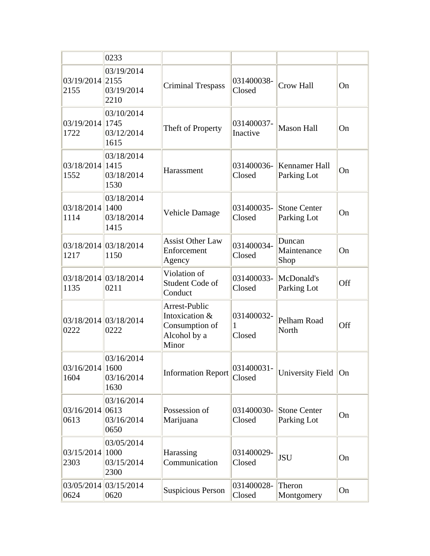|                         | 0233                                     |                                                                            |                           |                                    |     |
|-------------------------|------------------------------------------|----------------------------------------------------------------------------|---------------------------|------------------------------------|-----|
| 03/19/2014 2155<br>2155 | 03/19/2014<br>03/19/2014<br>2210         | <b>Criminal Trespass</b>                                                   | 031400038-<br>Closed      | <b>Crow Hall</b>                   | On  |
| 03/19/2014 1745<br>1722 | 03/10/2014<br>03/12/2014<br>1615         | Theft of Property                                                          | 031400037-<br>Inactive    | <b>Mason Hall</b>                  | On  |
| 03/18/2014 1415<br>1552 | 03/18/2014<br>03/18/2014<br>1530         | Harassment                                                                 | 031400036-<br>Closed      | Kennamer Hall<br>Parking Lot       | On  |
| 03/18/2014 1400<br>1114 | 03/18/2014<br>03/18/2014<br>1415         | <b>Vehicle Damage</b>                                                      | 031400035-<br>Closed      | <b>Stone Center</b><br>Parking Lot | On  |
| 1217                    | 03/18/2014 03/18/2014<br>1150            | <b>Assist Other Law</b><br>Enforcement<br>Agency                           | 031400034-<br>Closed      | Duncan<br>Maintenance<br>Shop      | On  |
| 1135                    | 03/18/2014 03/18/2014<br>0211            | Violation of<br>Student Code of<br>Conduct                                 | 031400033-<br>Closed      | McDonald's<br>Parking Lot          | Off |
| 0222                    | 03/18/2014 03/18/2014<br>0222            | Arrest-Public<br>Intoxication &<br>Consumption of<br>Alcohol by a<br>Minor | 031400032-<br>1<br>Closed | Pelham Road<br>North               | Off |
| 03/16/2014 1600<br>1604 | 03/16/2014<br>03/16/2014<br>1630         | <b>Information Report</b>                                                  | 031400031-<br>Closed      | University Field                   | On  |
| 03/16/2014 0613<br>0613 | 03/16/2014<br>03/16/2014<br>0650         | Possession of<br>Marijuana                                                 | 031400030-<br>Closed      | <b>Stone Center</b><br>Parking Lot | On  |
| 03/15/2014<br>2303      | 03/05/2014<br>1000<br>03/15/2014<br>2300 | Harassing<br>Communication                                                 | 031400029-<br>Closed      | <b>JSU</b>                         | On  |
| 0624                    | 03/05/2014 03/15/2014<br>0620            | <b>Suspicious Person</b>                                                   | 031400028-<br>Closed      | Theron<br>Montgomery               | On  |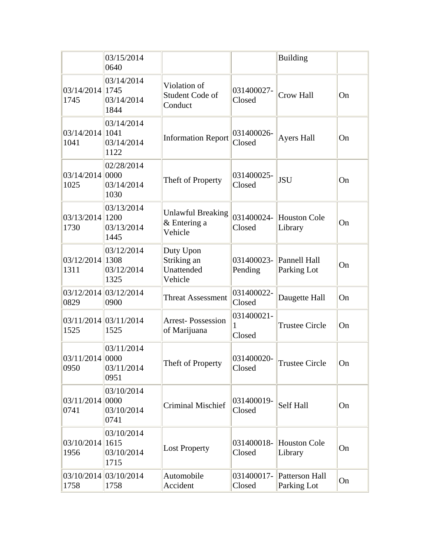|                         | 03/15/2014<br>0640                       |                                                     |                           | <b>Building</b>                |    |
|-------------------------|------------------------------------------|-----------------------------------------------------|---------------------------|--------------------------------|----|
| 03/14/2014 1745<br>1745 | 03/14/2014<br>03/14/2014<br>1844         | Violation of<br>Student Code of<br>Conduct          | 031400027-<br>Closed      | <b>Crow Hall</b>               | On |
| 03/14/2014 1041<br>1041 | 03/14/2014<br>03/14/2014<br>1122         | <b>Information Report</b>                           | 031400026-<br>Closed      | <b>Ayers Hall</b>              | On |
| 03/14/2014 0000<br>1025 | 02/28/2014<br>03/14/2014<br>1030         | Theft of Property                                   | 031400025-<br>Closed      | <b>JSU</b>                     | On |
| 03/13/2014 1200<br>1730 | 03/13/2014<br>03/13/2014<br>1445         | <b>Unlawful Breaking</b><br>& Entering a<br>Vehicle | 031400024-<br>Closed      | <b>Houston Cole</b><br>Library | On |
| 03/12/2014 1308<br>1311 | 03/12/2014<br>03/12/2014<br>1325         | Duty Upon<br>Striking an<br>Unattended<br>Vehicle   | 031400023-<br>Pending     | Pannell Hall<br>Parking Lot    | On |
| 0829                    | 03/12/2014 03/12/2014<br>0900            | <b>Threat Assessment</b>                            | 031400022-<br>Closed      | Daugette Hall                  | On |
| 1525                    | 03/11/2014 03/11/2014<br>1525            | <b>Arrest-Possession</b><br>of Marijuana            | 031400021-<br>1<br>Closed | <b>Trustee Circle</b>          | On |
| 03/11/2014 0000<br>0950 | 03/11/2014<br>03/11/2014<br>0951         | Theft of Property                                   | 031400020-<br>Closed      | <b>Trustee Circle</b>          | On |
| 03/11/2014<br>0741      | 03/10/2014<br>0000<br>03/10/2014<br>0741 | <b>Criminal Mischief</b>                            | 031400019-<br>Closed      | Self Hall                      | On |
| 03/10/2014<br>1956      | 03/10/2014<br>1615<br>03/10/2014<br>1715 | <b>Lost Property</b>                                | 031400018-<br>Closed      | <b>Houston Cole</b><br>Library | On |
| 1758                    | 03/10/2014 03/10/2014<br>1758            | Automobile<br>Accident                              | 031400017-<br>Closed      | Patterson Hall<br>Parking Lot  | On |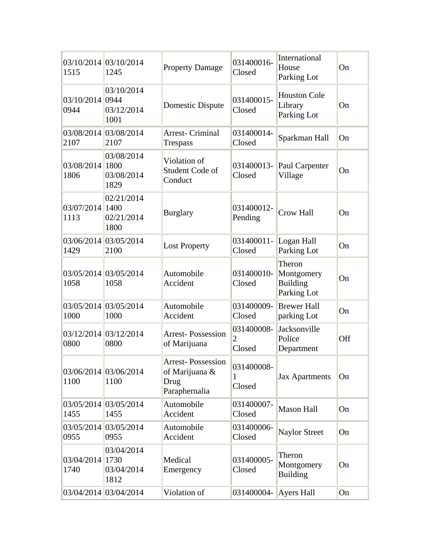| 1515                    | 03/10/2014 03/10/2014<br>1245            | <b>Property Damage</b>                                              | 031400016-<br>Closed                   | International<br>House<br>Parking Lot                  | On  |
|-------------------------|------------------------------------------|---------------------------------------------------------------------|----------------------------------------|--------------------------------------------------------|-----|
| 03/10/2014 0944<br>0944 | 03/10/2014<br>03/12/2014<br>1001         | Domestic Dispute                                                    | 031400015-<br>Closed                   | <b>Houston Cole</b><br>Library<br>Parking Lot          | On  |
| 2107                    | 03/08/2014 03/08/2014<br>2107            | <b>Arrest- Criminal</b><br><b>Trespass</b>                          | 031400014-<br>Closed                   | Sparkman Hall                                          | On  |
| 03/08/2014<br>1806      | 03/08/2014<br>1800<br>03/08/2014<br>1829 | Violation of<br>Student Code of<br>Conduct                          | 031400013-<br>Closed                   | Paul Carpenter<br>Village                              | On  |
| 03/07/2014<br>1113      | 02/21/2014<br>1400<br>02/21/2014<br>1800 | <b>Burglary</b>                                                     | 031400012-<br>Pending                  | <b>Crow Hall</b>                                       | On  |
| 1429                    | 03/06/2014 03/05/2014<br>2100            | <b>Lost Property</b>                                                | 031400011-<br>Closed                   | Logan Hall<br>Parking Lot                              | On  |
| 1058                    | 03/05/2014 03/05/2014<br>1058            | Automobile<br>Accident                                              | 031400010-<br>Closed                   | Theron<br>Montgomery<br><b>Building</b><br>Parking Lot | On  |
| 1000                    | 03/05/2014 03/05/2014<br>1000            | Automobile<br>Accident                                              | 031400009-<br>Closed                   | <b>Brewer Hall</b><br>parking Lot                      | On  |
| 03/12/2014<br>0800      | 03/12/2014<br>0800                       | <b>Arrest-Possession</b><br>of Marijuana                            | 031400008-<br>$\overline{2}$<br>Closed | Jacksonville<br>Police<br>Department                   | Off |
| 1100                    | 03/06/2014 03/06/2014<br>1100            | <b>Arrest-Possession</b><br>of Marijuana &<br>Drug<br>Paraphernalia | 031400008-<br>1<br>Closed              | <b>Jax Apartments</b>                                  | On  |
| 1455                    | 03/05/2014 03/05/2014<br>1455            | Automobile<br>Accident                                              | 031400007-<br>Closed                   | Mason Hall                                             | On  |
| 03/05/2014<br>0955      | 03/05/2014<br>0955                       | Automobile<br>Accident                                              | 031400006-<br>Closed                   | <b>Naylor Street</b>                                   | On  |
| 03/04/2014<br>1740      | 03/04/2014<br>1730<br>03/04/2014<br>1812 | Medical<br>Emergency                                                | 031400005-<br>Closed                   | Theron<br>Montgomery<br><b>Building</b>                | On  |
|                         | 03/04/2014 03/04/2014                    | Violation of                                                        | 031400004-                             | Ayers Hall                                             | On  |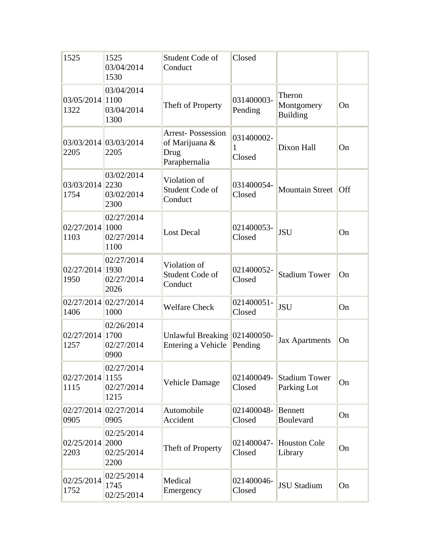| 1525                       | 1525<br>03/04/2014<br>1530               | Student Code of<br>Conduct                                          | Closed                    |                                         |                         |
|----------------------------|------------------------------------------|---------------------------------------------------------------------|---------------------------|-----------------------------------------|-------------------------|
| 03/05/2014 1100<br>1322    | 03/04/2014<br>03/04/2014<br>1300         | Theft of Property                                                   | 031400003-<br>Pending     | Theron<br>Montgomery<br><b>Building</b> | On                      |
| 2205                       | 03/03/2014 03/03/2014<br>2205            | <b>Arrest-Possession</b><br>of Marijuana &<br>Drug<br>Paraphernalia | 031400002-<br>1<br>Closed | Dixon Hall                              | On                      |
| 03/03/2014 2230<br>1754    | 03/02/2014<br>03/02/2014<br>2300         | Violation of<br>Student Code of<br>Conduct                          | 031400054-<br>Closed      | Mountain Street                         | $\overline{\text{Off}}$ |
| $02/27/2014$  1000<br>1103 | 02/27/2014<br>02/27/2014<br>1100         | <b>Lost Decal</b>                                                   | 021400053-<br>Closed      | <b>JSU</b>                              | On                      |
| 02/27/2014 1930<br>1950    | 02/27/2014<br>02/27/2014<br>2026         | Violation of<br>Student Code of<br>Conduct                          | 021400052-<br>Closed      | <b>Stadium Tower</b>                    | On                      |
| 1406                       | 02/27/2014 02/27/2014<br>1000            | <b>Welfare Check</b>                                                | 021400051-<br>Closed      | <b>JSU</b>                              | On                      |
| 02/27/2014 1700<br>1257    | 02/26/2014<br>02/27/2014<br>0900         | Unlawful Breaking 021400050-<br><b>Entering a Vehicle</b>           | Pending                   | <b>Jax Apartments</b>                   | On                      |
| 02/27/2014 1155<br>1115    | 02/27/2014<br>02/27/2014<br>1215         | Vehicle Damage                                                      | 021400049-<br>Closed      | <b>Stadium Tower</b><br>Parking Lot     | On                      |
| 0905                       | 02/27/2014 02/27/2014<br>0905            | Automobile<br>Accident                                              | 021400048-<br>Closed      | <b>Bennett</b><br>Boulevard             | On                      |
| 02/25/2014<br>2203         | 02/25/2014<br>2000<br>02/25/2014<br>2200 | Theft of Property                                                   | 021400047-<br>Closed      | <b>Houston Cole</b><br>Library          | On                      |
| 02/25/2014<br>1752         | 02/25/2014<br>1745<br>02/25/2014         | Medical<br>Emergency                                                | 021400046-<br>Closed      | <b>JSU Stadium</b>                      | On                      |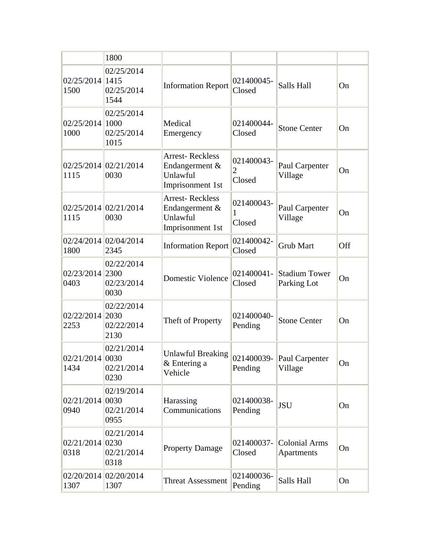|                         | 1800                                               |                                                                          |                           |                                      |     |
|-------------------------|----------------------------------------------------|--------------------------------------------------------------------------|---------------------------|--------------------------------------|-----|
| 02/25/2014 1415<br>1500 | 02/25/2014<br>02/25/2014<br>1544                   | <b>Information Report</b>                                                | 021400045-<br>Closed      | Salls Hall                           | On  |
| 02/25/2014 1000<br>1000 | 02/25/2014<br>02/25/2014<br>1015                   | Medical<br>Emergency                                                     | 021400044-<br>Closed      | <b>Stone Center</b>                  | On  |
| 1115                    | 02/25/2014 02/21/2014<br>0030                      | <b>Arrest-Reckless</b><br>Endangerment &<br>Unlawful<br>Imprisonment 1st | 021400043-<br>2<br>Closed | Paul Carpenter<br>Village            | On  |
| 1115                    | 02/25/2014 02/21/2014<br>0030                      | <b>Arrest-Reckless</b><br>Endangerment &<br>Unlawful<br>Imprisonment 1st | 021400043-<br>1<br>Closed | Paul Carpenter<br>Village            | On  |
| 1800                    | 02/24/2014 02/04/2014<br>2345                      | <b>Information Report</b>                                                | 021400042-<br>Closed      | <b>Grub Mart</b>                     | Off |
| 02/23/2014 2300<br>0403 | 02/22/2014<br>02/23/2014<br>0030                   | <b>Domestic Violence</b>                                                 | 021400041-<br>Closed      | <b>Stadium Tower</b><br>Parking Lot  | On  |
| 02/22/2014 2030<br>2253 | 02/22/2014<br>02/22/2014<br>2130                   | Theft of Property                                                        | 021400040-<br>Pending     | <b>Stone Center</b>                  | On  |
| 02/21/2014 0030<br>1434 | 02/21/2014<br>02/21/2014<br>0230                   | <b>Unlawful Breaking</b><br>& Entering a<br>Vehicle                      | Pending                   | 021400039- Paul Carpenter<br>Village | On  |
| 02/21/2014<br>0940      | 02/19/2014<br>$ 0030\rangle$<br>02/21/2014<br>0955 | Harassing<br>Communications                                              | 021400038-<br>Pending     | <b>JSU</b>                           | On  |
| 02/21/2014<br>0318      | 02/21/2014<br>$ 0230\rangle$<br>02/21/2014<br>0318 | <b>Property Damage</b>                                                   | 021400037-<br>Closed      | <b>Colonial Arms</b><br>Apartments   | On  |
| 1307                    | 02/20/2014 02/20/2014<br>1307                      | <b>Threat Assessment</b>                                                 | 021400036-<br>Pending     | Salls Hall                           | On  |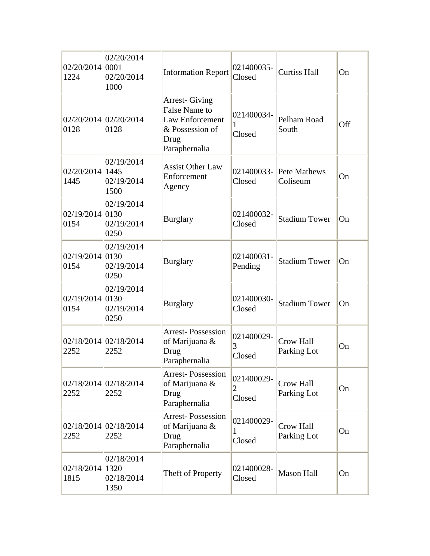| 02/20/2014 0001<br>1224   | 02/20/2014<br>02/20/2014<br>1000 | <b>Information Report</b>                                                                                   | 021400035-<br>Closed                   | <b>Curtiss Hall</b>      | On  |
|---------------------------|----------------------------------|-------------------------------------------------------------------------------------------------------------|----------------------------------------|--------------------------|-----|
| 0128                      | 02/20/2014 02/20/2014<br>0128    | <b>Arrest-Giving</b><br>False Name to<br><b>Law Enforcement</b><br>& Possession of<br>Drug<br>Paraphernalia | 021400034-<br>Closed                   | Pelham Road<br>South     | Off |
| 02/20/2014 1445<br>1445   | 02/19/2014<br>02/19/2014<br>1500 | <b>Assist Other Law</b><br>Enforcement<br>Agency                                                            | 021400033-<br>Closed                   | Pete Mathews<br>Coliseum | On  |
| $02/19/2014$ 0130<br>0154 | 02/19/2014<br>02/19/2014<br>0250 | <b>Burglary</b>                                                                                             | 021400032-<br>Closed                   | <b>Stadium Tower</b>     | On  |
| $02/19/2014$ 0130<br>0154 | 02/19/2014<br>02/19/2014<br>0250 | <b>Burglary</b>                                                                                             | 021400031-<br>Pending                  | <b>Stadium Tower</b>     | On  |
| $02/19/2014$ 0130<br>0154 | 02/19/2014<br>02/19/2014<br>0250 | <b>Burglary</b>                                                                                             | 021400030-<br>Closed                   | <b>Stadium Tower</b>     | On  |
| 2252                      | 02/18/2014 02/18/2014<br>2252    | <b>Arrest-Possession</b><br>of Marijuana &<br>Drug<br>Paraphernalia                                         | 021400029-<br>3<br>Closed              | Crow Hall<br>Parking Lot | On  |
| 2252                      | 02/18/2014 02/18/2014<br>2252    | <b>Arrest-Possession</b><br>of Marijuana &<br>Drug<br>Paraphernalia                                         | 021400029-<br>$\overline{2}$<br>Closed | Crow Hall<br>Parking Lot | On  |
| 2252                      | 02/18/2014 02/18/2014<br>2252    | <b>Arrest-Possession</b><br>of Marijuana &<br>Drug<br>Paraphernalia                                         | 021400029-<br>1<br>Closed              | Crow Hall<br>Parking Lot | On  |
| 02/18/2014 1320<br>1815   | 02/18/2014<br>02/18/2014<br>1350 | Theft of Property                                                                                           | 021400028-<br>Closed                   | <b>Mason Hall</b>        | On  |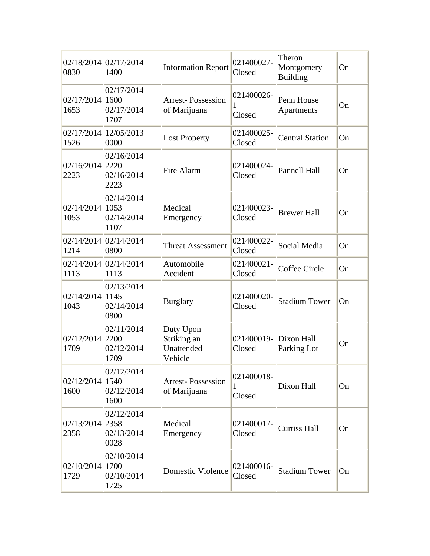| 0830                       | 02/18/2014 02/17/2014<br>1400    | <b>Information Report</b>                         | 021400027-<br>Closed      | Theron<br>Montgomery<br><b>Building</b> | On |
|----------------------------|----------------------------------|---------------------------------------------------|---------------------------|-----------------------------------------|----|
| $02/17/2014$  1600<br>1653 | 02/17/2014<br>02/17/2014<br>1707 | <b>Arrest-Possession</b><br>of Marijuana          | 021400026-<br>1<br>Closed | Penn House<br>Apartments                | On |
| 1526                       | 02/17/2014 12/05/2013<br>0000    | <b>Lost Property</b>                              | 021400025-<br>Closed      | <b>Central Station</b>                  | On |
| 02/16/2014 2220<br>2223    | 02/16/2014<br>02/16/2014<br>2223 | Fire Alarm                                        | 021400024-<br>Closed      | <b>Pannell Hall</b>                     | On |
| $02/14/2014$ 1053<br>1053  | 02/14/2014<br>02/14/2014<br>1107 | Medical<br>Emergency                              | 021400023-<br>Closed      | <b>Brewer Hall</b>                      | On |
| 1214                       | $02/14/2014$ 02/14/2014<br>0800  | <b>Threat Assessment</b>                          | 021400022-<br>Closed      | Social Media                            | On |
| 1113                       | 02/14/2014 02/14/2014<br>1113    | Automobile<br>Accident                            | 021400021-<br>Closed      | Coffee Circle                           | On |
| 02/14/2014 1145<br>1043    | 02/13/2014<br>02/14/2014<br>0800 | <b>Burglary</b>                                   | 021400020-<br>Closed      | <b>Stadium Tower</b>                    | On |
| 02/12/2014 2200<br>1709    | 02/11/2014<br>02/12/2014<br>1709 | Duty Upon<br>Striking an<br>Unattended<br>Vehicle | 021400019-<br>Closed      | Dixon Hall<br>Parking Lot               | On |
| $02/12/2014$  1540<br>1600 | 02/12/2014<br>02/12/2014<br>1600 | <b>Arrest-Possession</b><br>of Marijuana          | 021400018-<br>1<br>Closed | Dixon Hall                              | On |
| 02/13/2014 2358<br>2358    | 02/12/2014<br>02/13/2014<br>0028 | Medical<br>Emergency                              | 021400017-<br>Closed      | <b>Curtiss Hall</b>                     | On |
| 02/10/2014 1700<br>1729    | 02/10/2014<br>02/10/2014<br>1725 | <b>Domestic Violence</b>                          | 021400016-<br>Closed      | <b>Stadium Tower</b>                    | On |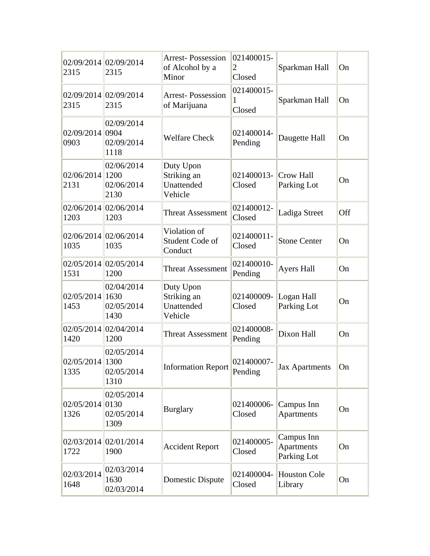| 2315                      | 02/09/2014 02/09/2014<br>2315            | <b>Arrest-Possession</b><br>of Alcohol by a<br>Minor | 021400015-<br>2<br>Closed | Sparkman Hall                           | On  |
|---------------------------|------------------------------------------|------------------------------------------------------|---------------------------|-----------------------------------------|-----|
| 2315                      | 02/09/2014 02/09/2014<br>2315            | <b>Arrest-Possession</b><br>of Marijuana             | 021400015-<br>1<br>Closed | Sparkman Hall                           | On  |
| 02/09/2014 0904<br>0903   | 02/09/2014<br>02/09/2014<br>1118         | <b>Welfare Check</b>                                 | 021400014-<br>Pending     | Daugette Hall                           | On  |
| 02/06/2014 1200<br>2131   | 02/06/2014<br>02/06/2014<br>2130         | Duty Upon<br>Striking an<br>Unattended<br>Vehicle    | 021400013-<br>Closed      | Crow Hall<br>Parking Lot                | On  |
| 1203                      | 02/06/2014 02/06/2014<br>1203            | <b>Threat Assessment</b>                             | 021400012-<br>Closed      | Ladiga Street                           | Off |
| 1035                      | 02/06/2014 02/06/2014<br>1035            | Violation of<br>Student Code of<br>Conduct           | 021400011-<br>Closed      | <b>Stone Center</b>                     | On  |
| 1531                      | 02/05/2014 02/05/2014<br>1200            | <b>Threat Assessment</b>                             | 021400010-<br>Pending     | <b>Ayers Hall</b>                       | On  |
| 02/05/2014<br>1453        | 02/04/2014<br>1630<br>02/05/2014<br>1430 | Duty Upon<br>Striking an<br>Unattended<br>Vehicle    | 021400009-<br>Closed      | Logan Hall<br>Parking Lot               | On  |
| 1420                      | 02/05/2014 02/04/2014<br>1200            | <b>Threat Assessment</b>                             | 021400008-<br>Pending     | Dixon Hall                              | On  |
| 02/05/2014 1300<br>1335   | 02/05/2014<br>02/05/2014<br>1310         | <b>Information Report</b>                            | 021400007-<br>Pending     | <b>Jax Apartments</b>                   | On  |
| $02/05/2014$ 0130<br>1326 | 02/05/2014<br>02/05/2014<br>1309         | <b>Burglary</b>                                      | 021400006-<br>Closed      | Campus Inn<br>Apartments                | On  |
| 1722                      | 02/03/2014 02/01/2014<br>1900            | <b>Accident Report</b>                               | 021400005-<br>Closed      | Campus Inn<br>Apartments<br>Parking Lot | On  |
| 02/03/2014<br>1648        | 02/03/2014<br>1630<br>02/03/2014         | Domestic Dispute                                     | 021400004-<br>Closed      | <b>Houston Cole</b><br>Library          | On  |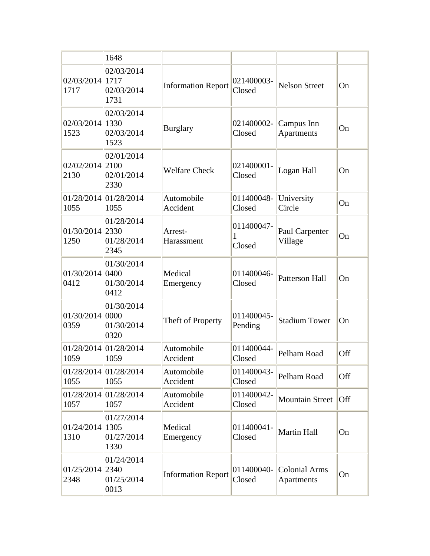|                           | 1648                             |                           |                           |                                           |     |
|---------------------------|----------------------------------|---------------------------|---------------------------|-------------------------------------------|-----|
| 02/03/2014 1717<br>1717   | 02/03/2014<br>02/03/2014<br>1731 | <b>Information Report</b> | 021400003-<br>Closed      | <b>Nelson Street</b>                      | On  |
| 02/03/2014 1330<br>1523   | 02/03/2014<br>02/03/2014<br>1523 | <b>Burglary</b>           | 021400002-<br>Closed      | Campus Inn<br>Apartments                  | On  |
| $02/02/2014$ 2100<br>2130 | 02/01/2014<br>02/01/2014<br>2330 | <b>Welfare Check</b>      | 021400001-<br>Closed      | Logan Hall                                | On  |
| 1055                      | 01/28/2014 01/28/2014<br>1055    | Automobile<br>Accident    | 011400048-<br>Closed      | University<br>Circle                      | On  |
| 01/30/2014 2330<br>1250   | 01/28/2014<br>01/28/2014<br>2345 | Arrest-<br>Harassment     | 011400047-<br>1<br>Closed | Paul Carpenter<br>Village                 | On  |
| 01/30/2014 0400<br>0412   | 01/30/2014<br>01/30/2014<br>0412 | Medical<br>Emergency      | 011400046-<br>Closed      | <b>Patterson Hall</b>                     | On  |
| 01/30/2014 0000<br>0359   | 01/30/2014<br>01/30/2014<br>0320 | Theft of Property         | 011400045-<br>Pending     | <b>Stadium Tower</b>                      | On  |
| 1059                      | 01/28/2014 01/28/2014<br>1059    | Automobile<br>Accident    | 011400044-<br>Closed      | Pelham Road                               | Off |
| 1055                      | 01/28/2014 01/28/2014<br>1055    | Automobile<br>Accident    | 011400043-<br>Closed      | Pelham Road                               | Off |
| 1057                      | 01/28/2014 01/28/2014<br>1057    | Automobile<br>Accident    | 011400042-<br>Closed      | <b>Mountain Street</b>                    | Off |
| 01/24/2014 1305<br>1310   | 01/27/2014<br>01/27/2014<br>1330 | Medical<br>Emergency      | 011400041-<br>Closed      | Martin Hall                               | On  |
| 01/25/2014 2340<br>2348   | 01/24/2014<br>01/25/2014<br>0013 | <b>Information Report</b> | 011400040-<br>Closed      | <b>Colonial Arms</b><br><b>Apartments</b> | On  |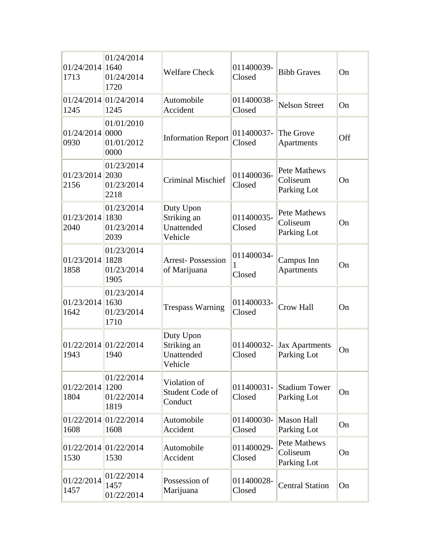| $01/24/2014$  1640<br>1713 | 01/24/2014<br>01/24/2014<br>1720         | <b>Welfare Check</b>                              | 011400039-<br>Closed      | <b>Bibb Graves</b>                             | On  |
|----------------------------|------------------------------------------|---------------------------------------------------|---------------------------|------------------------------------------------|-----|
| 1245                       | 01/24/2014 01/24/2014<br>1245            | Automobile<br>Accident                            | 011400038-<br>Closed      | <b>Nelson Street</b>                           | On  |
| 01/24/2014 0000<br>0930    | 01/01/2010<br>01/01/2012<br>0000         | <b>Information Report</b>                         | 011400037-<br>Closed      | The Grove<br>Apartments                        | Off |
| 01/23/2014 2030<br>2156    | 01/23/2014<br>01/23/2014<br>2218         | <b>Criminal Mischief</b>                          | 011400036-<br>Closed      | Pete Mathews<br>Coliseum<br>Parking Lot        | On  |
| 01/23/2014 1830<br>2040    | 01/23/2014<br>01/23/2014<br>2039         | Duty Upon<br>Striking an<br>Unattended<br>Vehicle | 011400035-<br>Closed      | Pete Mathews<br>Coliseum<br>Parking Lot        | On  |
| 01/23/2014 1828<br>1858    | 01/23/2014<br>01/23/2014<br>1905         | <b>Arrest-Possession</b><br>of Marijuana          | 011400034-<br>1<br>Closed | Campus Inn<br>Apartments                       | On  |
| 01/23/2014 1630<br>1642    | 01/23/2014<br>01/23/2014<br>1710         | <b>Trespass Warning</b>                           | 011400033-<br>Closed      | <b>Crow Hall</b>                               | On  |
| 1943                       | 01/22/2014 01/22/2014<br>1940            | Duty Upon<br>Striking an<br>Unattended<br>Vehicle | 011400032-<br>Closed      | <b>Jax Apartments</b><br>Parking Lot           | On  |
| 01/22/2014<br>1804         | 01/22/2014<br>1200<br>01/22/2014<br>1819 | Violation of<br>Student Code of<br>Conduct        | 011400031-<br>Closed      | <b>Stadium Tower</b><br>Parking Lot            | On  |
| 1608                       | 01/22/2014 01/22/2014<br>1608            | Automobile<br>Accident                            | 011400030-<br>Closed      | <b>Mason Hall</b><br>Parking Lot               | On  |
| 1530                       | 01/22/2014 01/22/2014<br>1530            | Automobile<br>Accident                            | 011400029-<br>Closed      | <b>Pete Mathews</b><br>Coliseum<br>Parking Lot | On  |
| 01/22/2014<br>1457         | 01/22/2014<br>1457<br>01/22/2014         | Possession of<br>Marijuana                        | 011400028-<br>Closed      | <b>Central Station</b>                         | On  |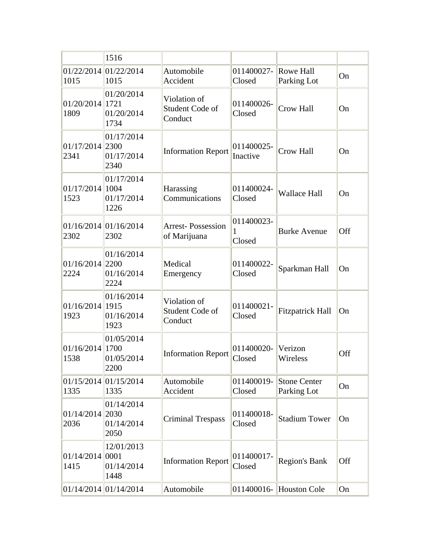|                            | 1516                                      |                                            |                           |                                    |     |
|----------------------------|-------------------------------------------|--------------------------------------------|---------------------------|------------------------------------|-----|
| 1015                       | 01/22/2014 01/22/2014<br>1015             | Automobile<br>Accident                     | 011400027-<br>Closed      | Rowe Hall<br>Parking Lot           | On  |
| 01/20/2014 1721<br>1809    | 01/20/2014<br>01/20/2014<br>1734          | Violation of<br>Student Code of<br>Conduct | 011400026-<br>Closed      | Crow Hall                          | On  |
| 01/17/2014 2300<br>2341    | 01/17/2014<br>01/17/2014<br>2340          | <b>Information Report</b>                  | 011400025-<br>Inactive    | Crow Hall                          | On  |
| 01/17/2014<br>1523         | 01/17/2014<br> 1004<br>01/17/2014<br>1226 | Harassing<br>Communications                | 011400024-<br>Closed      | <b>Wallace Hall</b>                | On  |
| 2302                       | 01/16/2014 01/16/2014<br>2302             | <b>Arrest-Possession</b><br>of Marijuana   | 011400023-<br>1<br>Closed | <b>Burke Avenue</b>                | Off |
| $01/16/2014$ 2200<br>2224  | 01/16/2014<br>01/16/2014<br>2224          | Medical<br>Emergency                       | 011400022-<br>Closed      | Sparkman Hall                      | On  |
| $01/16/2014$  1915<br>1923 | 01/16/2014<br>01/16/2014<br>1923          | Violation of<br>Student Code of<br>Conduct | 011400021-<br>Closed      | <b>Fitzpatrick Hall</b>            | On  |
| 01/16/2014<br>1538         | 01/05/2014<br>1700<br>01/05/2014<br>2200  | <b>Information Report</b>                  | 011400020-<br>Closed      | Verizon<br>Wireless                | Off |
| 1335                       | 01/15/2014 01/15/2014<br>1335             | Automobile<br>Accident                     | 011400019-<br>Closed      | <b>Stone Center</b><br>Parking Lot | On  |
| 01/14/2014<br>2036         | 01/14/2014<br>2030<br>01/14/2014<br>2050  | <b>Criminal Trespass</b>                   | 011400018-<br>Closed      | <b>Stadium Tower</b>               | On  |
| 01/14/2014<br>1415         | 12/01/2013<br> 0001<br>01/14/2014<br>1448 | <b>Information Report</b>                  | 011400017-<br>Closed      | <b>Region's Bank</b>               | Off |
|                            | 01/14/2014 01/14/2014                     | Automobile                                 |                           | 011400016- $\vert$ Houston Cole    | On  |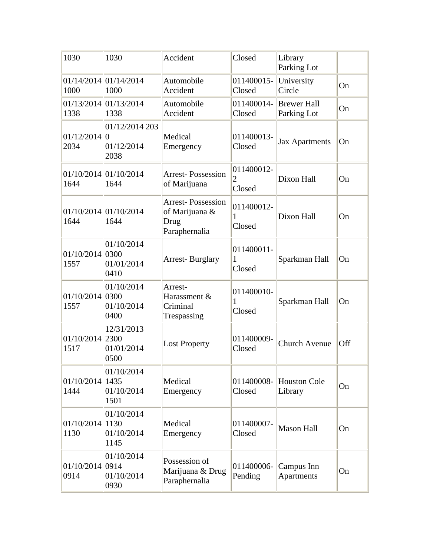| 1030                       | 1030                                 | Accident                                                            | Closed                                 | Library<br>Parking Lot            |     |
|----------------------------|--------------------------------------|---------------------------------------------------------------------|----------------------------------------|-----------------------------------|-----|
| 1000                       | 01/14/2014 01/14/2014<br>1000        | Automobile<br>Accident                                              | 011400015-<br>Closed                   | University<br>Circle              | On  |
| 1338                       | 01/13/2014 01/13/2014<br>1338        | Automobile<br>Accident                                              | 011400014-<br>Closed                   | <b>Brewer Hall</b><br>Parking Lot | On  |
| $01/12/2014$ 0<br>2034     | 01/12/2014 203<br>01/12/2014<br>2038 | Medical<br>Emergency                                                | 011400013-<br>Closed                   | <b>Jax Apartments</b>             | On  |
| 1644                       | 01/10/2014 01/10/2014<br>1644        | <b>Arrest-Possession</b><br>of Marijuana                            | 011400012-<br>$\overline{2}$<br>Closed | Dixon Hall                        | On  |
| 1644                       | 01/10/2014 01/10/2014<br>1644        | <b>Arrest-Possession</b><br>of Marijuana &<br>Drug<br>Paraphernalia | 011400012-<br>1<br>Closed              | Dixon Hall                        | On  |
| $01/10/2014$ 0300<br>1557  | 01/10/2014<br>01/01/2014<br>0410     | <b>Arrest-Burglary</b>                                              | 011400011-<br>1<br>Closed              | Sparkman Hall                     | On  |
| $01/10/2014$ 0300<br>1557  | 01/10/2014<br>01/10/2014<br>0400     | Arrest-<br>Harassment &<br>Criminal<br>Trespassing                  | 011400010-<br>1<br>Closed              | Sparkman Hall                     | On  |
| 01/10/2014 2300<br>1517    | 12/31/2013<br>01/01/2014<br>0500     | <b>Lost Property</b>                                                | 011400009-<br>Closed                   | <b>Church Avenue</b>              | Off |
| $01/10/2014$  1435<br>1444 | 01/10/2014<br>01/10/2014<br>1501     | Medical<br>Emergency                                                | 011400008-<br>Closed                   | <b>Houston Cole</b><br>Library    | On  |
| $01/10/2014$  1130<br>1130 | 01/10/2014<br>01/10/2014<br>1145     | Medical<br>Emergency                                                | 011400007-<br>Closed                   | <b>Mason Hall</b>                 | On  |
| 01/10/2014 0914<br>0914    | 01/10/2014<br>01/10/2014<br>0930     | Possession of<br>Marijuana & Drug<br>Paraphernalia                  | 011400006-<br>Pending                  | Campus Inn<br><b>Apartments</b>   | On  |